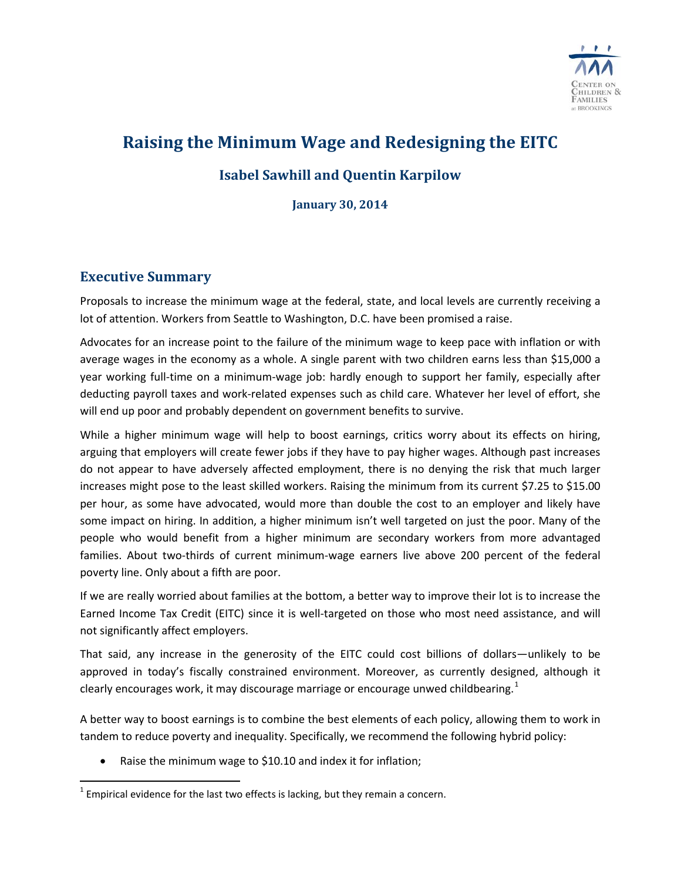

# **Raising the Minimum Wage and Redesigning the EITC**

# **Isabel Sawhill and Quentin Karpilow**

**January 30, 2014**

# **Executive Summary**

l

Proposals to increase the minimum wage at the federal, state, and local levels are currently receiving a lot of attention. Workers from Seattle to Washington, D.C. have been promised a raise.

Advocates for an increase point to the failure of the minimum wage to keep pace with inflation or with average wages in the economy as a whole. A single parent with two children earns less than \$15,000 a year working full-time on a minimum-wage job: hardly enough to support her family, especially after deducting payroll taxes and work-related expenses such as child care. Whatever her level of effort, she will end up poor and probably dependent on government benefits to survive.

While a higher minimum wage will help to boost earnings, critics worry about its effects on hiring, arguing that employers will create fewer jobs if they have to pay higher wages. Although past increases do not appear to have adversely affected employment, there is no denying the risk that much larger increases might pose to the least skilled workers. Raising the minimum from its current \$7.25 to \$15.00 per hour, as some have advocated, would more than double the cost to an employer and likely have some impact on hiring. In addition, a higher minimum isn't well targeted on just the poor. Many of the people who would benefit from a higher minimum are secondary workers from more advantaged families. About two-thirds of current minimum-wage earners live above 200 percent of the federal poverty line. Only about a fifth are poor.

If we are really worried about families at the bottom, a better way to improve their lot is to increase the Earned Income Tax Credit (EITC) since it is well-targeted on those who most need assistance, and will not significantly affect employers.

That said, any increase in the generosity of the EITC could cost billions of dollars—unlikely to be approved in today's fiscally constrained environment. Moreover, as currently designed, although it clearly encourages work, it may discourage marriage or encourage unwed childbearing. $1$ 

A better way to boost earnings is to combine the best elements of each policy, allowing them to work in tandem to reduce poverty and inequality. Specifically, we recommend the following hybrid policy:

• Raise the minimum wage to \$10.10 and index it for inflation;

<span id="page-0-0"></span> $1$  Empirical evidence for the last two effects is lacking, but they remain a concern.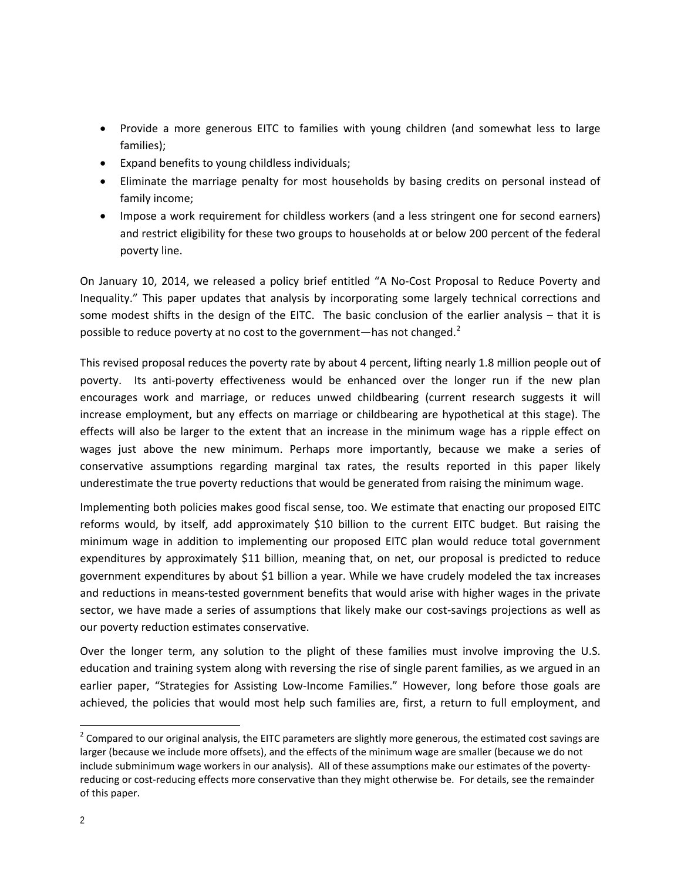- Provide a more generous EITC to families with young children (and somewhat less to large families);
- Expand benefits to young childless individuals;
- Eliminate the marriage penalty for most households by basing credits on personal instead of family income;
- Impose a work requirement for childless workers (and a less stringent one for second earners) and restrict eligibility for these two groups to households at or below 200 percent of the federal poverty line.

On January 10, 2014, we released a policy brief entitled "A No-Cost Proposal to Reduce Poverty and Inequality." This paper updates that analysis by incorporating some largely technical corrections and some modest shifts in the design of the EITC. The basic conclusion of the earlier analysis – that it is possible to reduce poverty at no cost to the government—has not changed. $2^2$  $2^2$ 

This revised proposal reduces the poverty rate by about 4 percent, lifting nearly 1.8 million people out of poverty. Its anti-poverty effectiveness would be enhanced over the longer run if the new plan encourages work and marriage, or reduces unwed childbearing (current research suggests it will increase employment, but any effects on marriage or childbearing are hypothetical at this stage). The effects will also be larger to the extent that an increase in the minimum wage has a ripple effect on wages just above the new minimum. Perhaps more importantly, because we make a series of conservative assumptions regarding marginal tax rates, the results reported in this paper likely underestimate the true poverty reductions that would be generated from raising the minimum wage.

Implementing both policies makes good fiscal sense, too. We estimate that enacting our proposed EITC reforms would, by itself, add approximately \$10 billion to the current EITC budget. But raising the minimum wage in addition to implementing our proposed EITC plan would reduce total government expenditures by approximately \$11 billion, meaning that, on net, our proposal is predicted to reduce government expenditures by about \$1 billion a year. While we have crudely modeled the tax increases and reductions in means-tested government benefits that would arise with higher wages in the private sector, we have made a series of assumptions that likely make our cost-savings projections as well as our poverty reduction estimates conservative.

Over the longer term, any solution to the plight of these families must involve improving the U.S. education and training system along with reversing the rise of single parent families, as we argued in an earlier paper, "Strategies for Assisting Low-Income Families." However, long before those goals are achieved, the policies that would most help such families are, first, a return to full employment, and

<span id="page-1-0"></span> $2$  Compared to our original analysis, the EITC parameters are slightly more generous, the estimated cost savings are larger (because we include more offsets), and the effects of the minimum wage are smaller (because we do not include subminimum wage workers in our analysis). All of these assumptions make our estimates of the povertyreducing or cost-reducing effects more conservative than they might otherwise be. For details, see the remainder of this paper.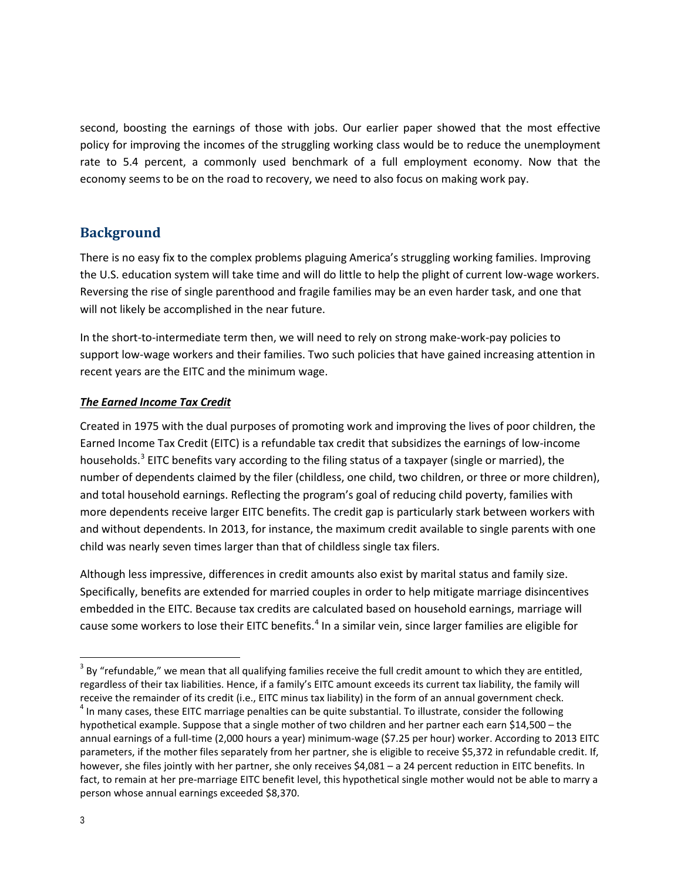second, boosting the earnings of those with jobs. Our earlier paper showed that the most effective policy for improving the incomes of the struggling working class would be to reduce the unemployment rate to 5.4 percent, a commonly used benchmark of a full employment economy. Now that the economy seems to be on the road to recovery, we need to also focus on making work pay.

# **Background**

There is no easy fix to the complex problems plaguing America's struggling working families. Improving the U.S. education system will take time and will do little to help the plight of current low-wage workers. Reversing the rise of single parenthood and fragile families may be an even harder task, and one that will not likely be accomplished in the near future.

In the short-to-intermediate term then, we will need to rely on strong make-work-pay policies to support low-wage workers and their families. Two such policies that have gained increasing attention in recent years are the EITC and the minimum wage.

#### *The Earned Income Tax Credit*

Created in 1975 with the dual purposes of promoting work and improving the lives of poor children, the Earned Income Tax Credit (EITC) is a refundable tax credit that subsidizes the earnings of low-income households.<sup>[3](#page-2-0)</sup> EITC benefits vary according to the filing status of a taxpayer (single or married), the number of dependents claimed by the filer (childless, one child, two children, or three or more children), and total household earnings. Reflecting the program's goal of reducing child poverty, families with more dependents receive larger EITC benefits. The credit gap is particularly stark between workers with and without dependents. In 2013, for instance, the maximum credit available to single parents with one child was nearly seven times larger than that of childless single tax filers.

Although less impressive, differences in credit amounts also exist by marital status and family size. Specifically, benefits are extended for married couples in order to help mitigate marriage disincentives embedded in the EITC. Because tax credits are calculated based on household earnings, marriage will cause some workers to lose their EITC benefits.<sup>[4](#page-2-1)</sup> In a similar vein, since larger families are eligible for

<span id="page-2-0"></span> $3$  By "refundable," we mean that all qualifying families receive the full credit amount to which they are entitled, regardless of their tax liabilities. Hence, if a family's EITC amount exceeds its current tax liability, the family will l

<span id="page-2-1"></span>receive the remainder of its credit (i.e., EITC minus tax liability) in the form of an annual government check.<br><sup>4</sup> In many cases, these EITC marriage penalties can be quite substantial. To illustrate, consider the followi hypothetical example. Suppose that a single mother of two children and her partner each earn \$14,500 – the annual earnings of a full-time (2,000 hours a year) minimum-wage (\$7.25 per hour) worker. According to 2013 EITC parameters, if the mother files separately from her partner, she is eligible to receive \$5,372 in refundable credit. If, however, she files jointly with her partner, she only receives \$4,081 – a 24 percent reduction in EITC benefits. In fact, to remain at her pre-marriage EITC benefit level, this hypothetical single mother would not be able to marry a person whose annual earnings exceeded \$8,370.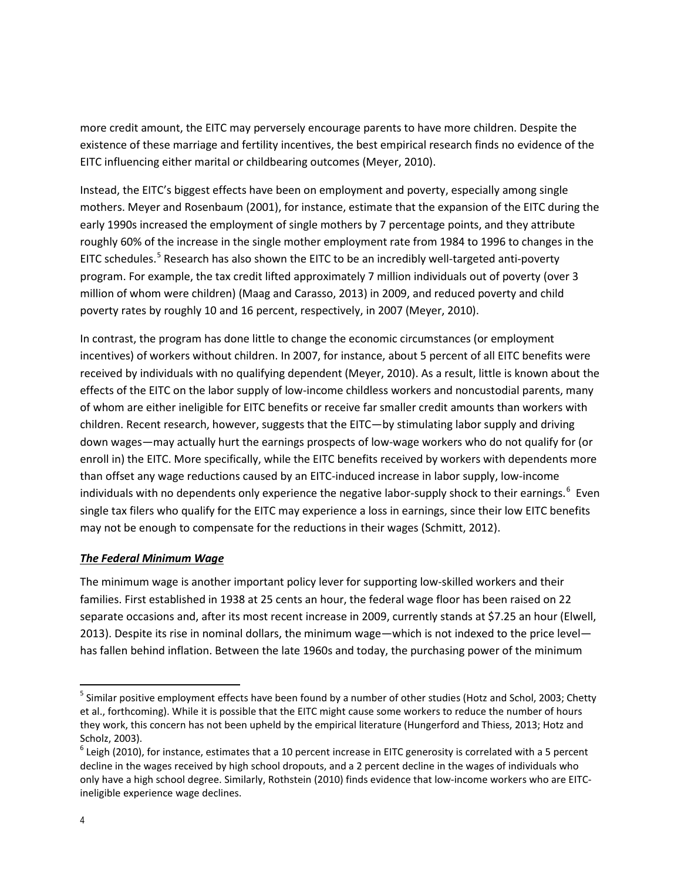more credit amount, the EITC may perversely encourage parents to have more children. Despite the existence of these marriage and fertility incentives, the best empirical research finds no evidence of the EITC influencing either marital or childbearing outcomes (Meyer, 2010).

Instead, the EITC's biggest effects have been on employment and poverty, especially among single mothers. Meyer and Rosenbaum (2001), for instance, estimate that the expansion of the EITC during the early 1990s increased the employment of single mothers by 7 percentage points, and they attribute roughly 60% of the increase in the single mother employment rate from 1984 to 1996 to changes in the EITC schedules.<sup>[5](#page-3-0)</sup> Research has also shown the EITC to be an incredibly well-targeted anti-poverty program. For example, the tax credit lifted approximately 7 million individuals out of poverty (over 3 million of whom were children) (Maag and Carasso, 2013) in 2009, and reduced poverty and child poverty rates by roughly 10 and 16 percent, respectively, in 2007 (Meyer, 2010).

In contrast, the program has done little to change the economic circumstances (or employment incentives) of workers without children. In 2007, for instance, about 5 percent of all EITC benefits were received by individuals with no qualifying dependent (Meyer, 2010). As a result, little is known about the effects of the EITC on the labor supply of low-income childless workers and noncustodial parents, many of whom are either ineligible for EITC benefits or receive far smaller credit amounts than workers with children. Recent research, however, suggests that the EITC—by stimulating labor supply and driving down wages—may actually hurt the earnings prospects of low-wage workers who do not qualify for (or enroll in) the EITC. More specifically, while the EITC benefits received by workers with dependents more than offset any wage reductions caused by an EITC-induced increase in labor supply, low-income individuals with no dependents only experience the negative labor-supply shock to their earnings.<sup>[6](#page-3-1)</sup> Even single tax filers who qualify for the EITC may experience a loss in earnings, since their low EITC benefits may not be enough to compensate for the reductions in their wages (Schmitt, 2012).

#### *The Federal Minimum Wage*

The minimum wage is another important policy lever for supporting low-skilled workers and their families. First established in 1938 at 25 cents an hour, the federal wage floor has been raised on 22 separate occasions and, after its most recent increase in 2009, currently stands at \$7.25 an hour (Elwell, 2013). Despite its rise in nominal dollars, the minimum wage—which is not indexed to the price level has fallen behind inflation. Between the late 1960s and today, the purchasing power of the minimum

<span id="page-3-0"></span><sup>&</sup>lt;sup>5</sup> Similar positive employment effects have been found by a number of other studies (Hotz and Schol, 2003; Chetty et al., forthcoming). While it is possible that the EITC might cause some workers to reduce the number of hours they work, this concern has not been upheld by the empirical literature (Hungerford and Thiess, 2013; Hotz and Scholz, 2003).

<span id="page-3-1"></span> $6$  Leigh (2010), for instance, estimates that a 10 percent increase in EITC generosity is correlated with a 5 percent decline in the wages received by high school dropouts, and a 2 percent decline in the wages of individuals who only have a high school degree. Similarly, Rothstein (2010) finds evidence that low-income workers who are EITCineligible experience wage declines.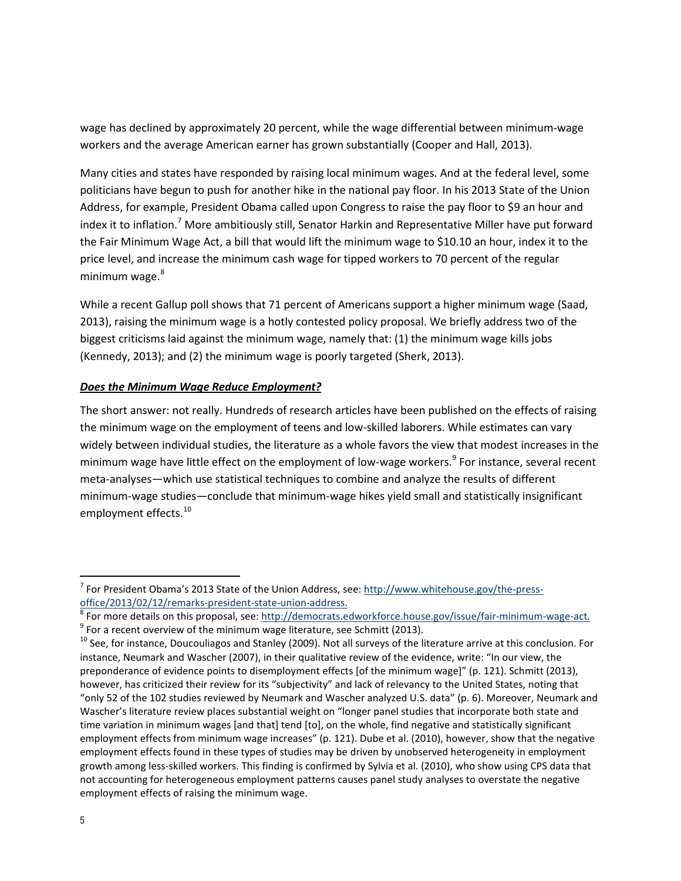wage has declined by approximately 20 percent, while the wage differential between minimum-wage workers and the average American earner has grown substantially (Cooper and Hall, 2013).

Many cities and states have responded by raising local minimum wages. And at the federal level, some politicians have begun to push for another hike in the national pay floor. In his 2013 State of the Union Address, for example, President Obama called upon Congress to raise the pay floor to \$9 an hour and index it to inflation.<sup>[7](#page-4-0)</sup> More ambitiously still, Senator Harkin and Representative Miller have put forward the Fair Minimum Wage Act, a bill that would lift the minimum wage to \$10.10 an hour, index it to the price level, and increase the minimum cash wage for tipped workers to 70 percent of the regular minimum wage.<sup>[8](#page-4-1)</sup>

While a recent Gallup poll shows that 71 percent of Americans support a higher minimum wage (Saad, 2013), raising the minimum wage is a hotly contested policy proposal. We briefly address two of the biggest criticisms laid against the minimum wage, namely that: (1) the minimum wage kills jobs (Kennedy, 2013); and (2) the minimum wage is poorly targeted (Sherk, 2013).

#### *Does the Minimum Wage Reduce Employment?*

The short answer: not really. Hundreds of research articles have been published on the effects of raising the minimum wage on the employment of teens and low-skilled laborers. While estimates can vary widely between individual studies, the literature as a whole favors the view that modest increases in the minimum wage have little effect on the employment of low-wage workers.<sup>[9](#page-4-2)</sup> For instance, several recent meta-analyses—which use statistical techniques to combine and analyze the results of different minimum-wage studies—conclude that minimum-wage hikes yield small and statistically insignificant employment effects.<sup>[10](#page-4-3)</sup>

<span id="page-4-0"></span> $<sup>7</sup>$  For President Obama's 2013 State of the Union Address, see: http://www.whitehouse.gov/the-press-</sup>

<span id="page-4-1"></span>[office/2013/02/12/remarks-president-state-union-address.](http://www.whitehouse.gov/the-press-office/2013/02/12/remarks-president-state-union-address)<br>
<sup>8</sup> For more details on this proposal, see: [http://democrats.edworkforce.house.gov/issue/fair-minimum-wage-act.](http://democrats.edworkforce.house.gov/issue/fair-minimum-wage-act)<br>
<sup>9</sup> For a recent overview of the minimum wage liter

<span id="page-4-2"></span>

<span id="page-4-3"></span>instance, Neumark and Wascher (2007), in their qualitative review of the evidence, write: "In our view, the preponderance of evidence points to disemployment effects [of the minimum wage]" (p. 121). Schmitt (2013), however, has criticized their review for its "subjectivity" and lack of relevancy to the United States, noting that "only 52 of the 102 studies reviewed by Neumark and Wascher analyzed U.S. data" (p. 6). Moreover, Neumark and Wascher's literature review places substantial weight on "longer panel studies that incorporate both state and time variation in minimum wages [and that] tend [to], on the whole, find negative and statistically significant employment effects from minimum wage increases" (p. 121). Dube et al. (2010), however, show that the negative employment effects found in these types of studies may be driven by unobserved heterogeneity in employment growth among less-skilled workers. This finding is confirmed by Sylvia et al. (2010), who show using CPS data that not accounting for heterogeneous employment patterns causes panel study analyses to overstate the negative employment effects of raising the minimum wage.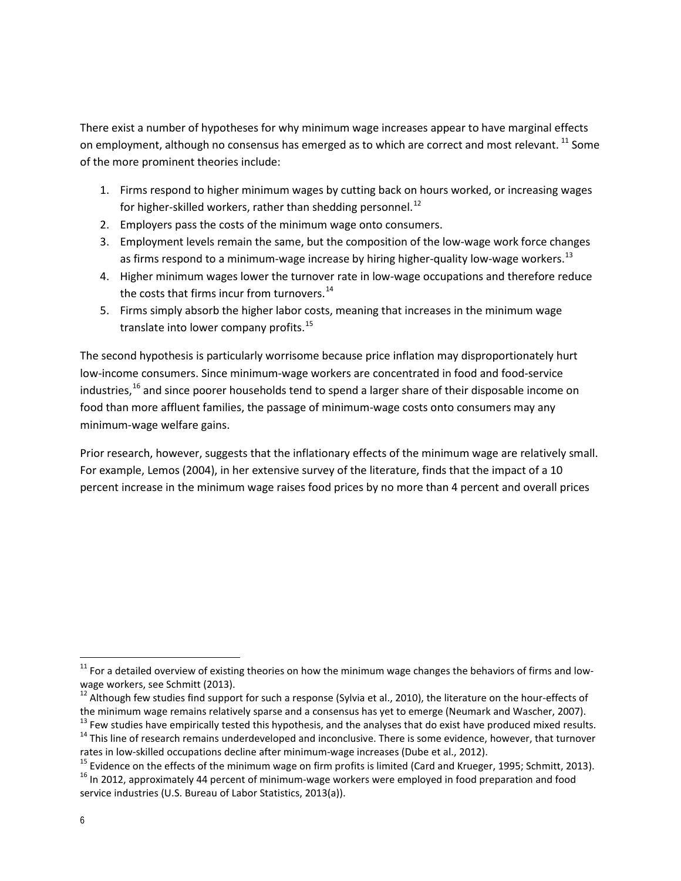There exist a number of hypotheses for why minimum wage increases appear to have marginal effects on employment, although no consensus has emerged as to which are correct and most relevant. <sup>[11](#page-5-0)</sup> Some of the more prominent theories include:

- 1. Firms respond to higher minimum wages by cutting back on hours worked, or increasing wages for higher-skilled workers, rather than shedding personnel.<sup>[12](#page-5-1)</sup>
- 2. Employers pass the costs of the minimum wage onto consumers.
- 3. Employment levels remain the same, but the composition of the low-wage work force changes as firms respond to a minimum-wage increase by hiring higher-quality low-wage workers.<sup>[13](#page-5-2)</sup>
- 4. Higher minimum wages lower the turnover rate in low-wage occupations and therefore reduce the costs that firms incur from turnovers. $14$
- 5. Firms simply absorb the higher labor costs, meaning that increases in the minimum wage translate into lower company profits.<sup>[15](#page-5-4)</sup>

The second hypothesis is particularly worrisome because price inflation may disproportionately hurt low-income consumers. Since minimum-wage workers are concentrated in food and food-service industries,<sup>[16](#page-5-5)</sup> and since poorer households tend to spend a larger share of their disposable income on food than more affluent families, the passage of minimum-wage costs onto consumers may any minimum-wage welfare gains.

Prior research, however, suggests that the inflationary effects of the minimum wage are relatively small. For example, Lemos (2004), in her extensive survey of the literature, finds that the impact of a 10 percent increase in the minimum wage raises food prices by no more than 4 percent and overall prices

<span id="page-5-0"></span> $11$  For a detailed overview of existing theories on how the minimum wage changes the behaviors of firms and lowwage workers, see Schmitt (2013).

<span id="page-5-1"></span><sup>12</sup> Although few studies find support for such a response (Sylvia et al., 2010), the literature on the hour-effects of

<span id="page-5-2"></span>the minimum wage remains relatively sparse and a consensus has yet to emerge (Neumark and Wascher, 2007).<br><sup>13</sup> Few studies have empirically tested this hypothesis, and the analyses that do exist have produced mixed results

<span id="page-5-3"></span><sup>&</sup>lt;sup>14</sup> This line of research remains underdeveloped and inconclusive. There is some evidence, however, that turnover rates in low-skilled occupations decline after minimum-wage increases (Dube et al., 2012).<br><sup>15</sup> Evidence on the effects of the minimum wage on firm profits is limited (Card and Krueger, 1995; Schmitt, 2013).<br><sup>16</sup> In 2012,

<span id="page-5-4"></span>

<span id="page-5-5"></span>service industries (U.S. Bureau of Labor Statistics, 2013(a)).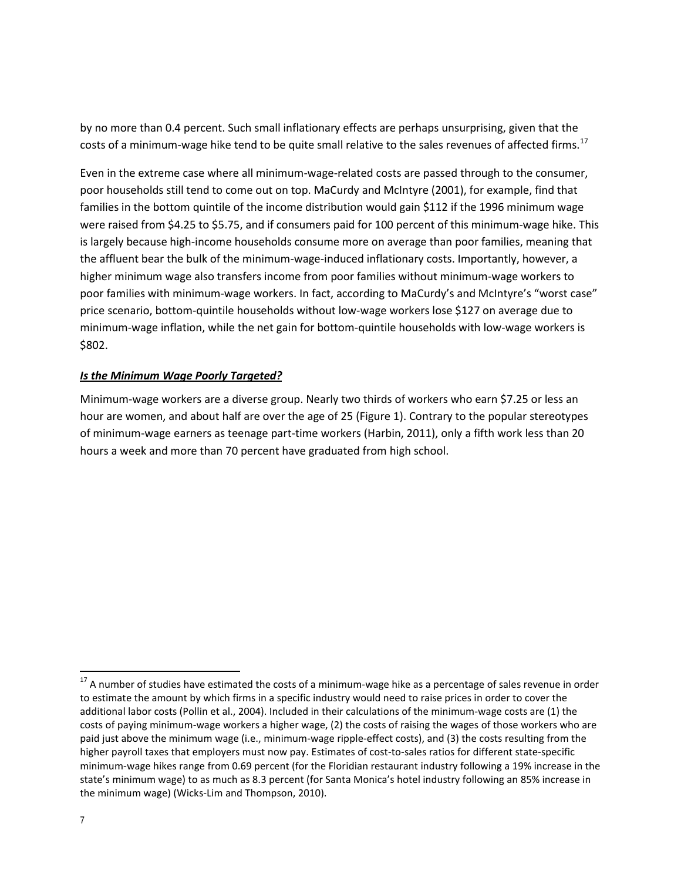by no more than 0.4 percent. Such small inflationary effects are perhaps unsurprising, given that the costs of a minimum-wage hike tend to be quite small relative to the sales revenues of affected firms.<sup>17</sup>

Even in the extreme case where all minimum-wage-related costs are passed through to the consumer, poor households still tend to come out on top. MaCurdy and McIntyre (2001), for example, find that families in the bottom quintile of the income distribution would gain \$112 if the 1996 minimum wage were raised from \$4.25 to \$5.75, and if consumers paid for 100 percent of this minimum-wage hike. This is largely because high-income households consume more on average than poor families, meaning that the affluent bear the bulk of the minimum-wage-induced inflationary costs. Importantly, however, a higher minimum wage also transfers income from poor families without minimum-wage workers to poor families with minimum-wage workers. In fact, according to MaCurdy's and McIntyre's "worst case" price scenario, bottom-quintile households without low-wage workers lose \$127 on average due to minimum-wage inflation, while the net gain for bottom-quintile households with low-wage workers is \$802.

#### *Is the Minimum Wage Poorly Targeted?*

Minimum-wage workers are a diverse group. Nearly two thirds of workers who earn \$7.25 or less an hour are women, and about half are over the age of 25 (Figure 1). Contrary to the popular stereotypes of minimum-wage earners as teenage part-time workers (Harbin, 2011), only a fifth work less than 20 hours a week and more than 70 percent have graduated from high school.

<span id="page-6-0"></span><sup>&</sup>lt;sup>17</sup> A number of studies have estimated the costs of a minimum-wage hike as a percentage of sales revenue in order to estimate the amount by which firms in a specific industry would need to raise prices in order to cover the additional labor costs (Pollin et al., 2004). Included in their calculations of the minimum-wage costs are (1) the costs of paying minimum-wage workers a higher wage, (2) the costs of raising the wages of those workers who are paid just above the minimum wage (i.e., minimum-wage ripple-effect costs), and (3) the costs resulting from the higher payroll taxes that employers must now pay. Estimates of cost-to-sales ratios for different state-specific minimum-wage hikes range from 0.69 percent (for the Floridian restaurant industry following a 19% increase in the state's minimum wage) to as much as 8.3 percent (for Santa Monica's hotel industry following an 85% increase in the minimum wage) (Wicks-Lim and Thompson, 2010).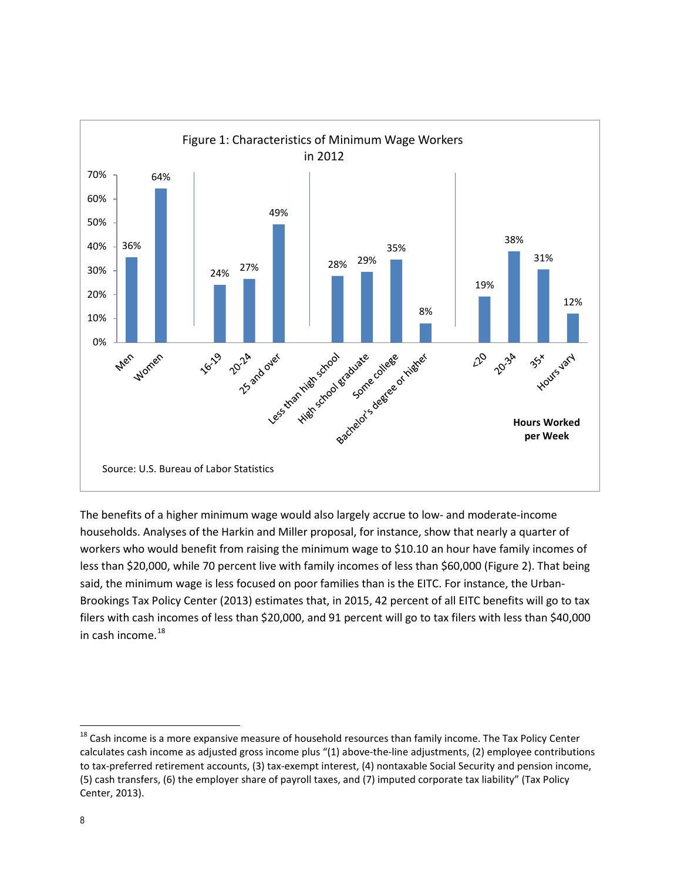

The benefits of a higher minimum wage would also largely accrue to low- and moderate-income households. Analyses of the Harkin and Miller proposal, for instance, show that nearly a quarter of workers who would benefit from raising the minimum wage to \$10.10 an hour have family incomes of less than \$20,000, while 70 percent live with family incomes of less than \$60,000 (Figure 2). That being said, the minimum wage is less focused on poor families than is the EITC. For instance, the Urban-Brookings Tax Policy Center (2013) estimates that, in 2015, 42 percent of all EITC benefits will go to tax filers with cash incomes of less than \$20,000, and 91 percent will go to tax filers with less than \$40,000 in cash income. $^{18}$  $^{18}$  $^{18}$ 

<span id="page-7-0"></span> $^{18}$  Cash income is a more expansive measure of household resources than family income. The Tax Policy Center calculates cash income as adjusted gross income plus "(1) above-the-line adjustments, (2) employee contributions to tax-preferred retirement accounts, (3) tax-exempt interest, (4) nontaxable Social Security and pension income, (5) cash transfers, (6) the employer share of payroll taxes, and (7) imputed corporate tax liability" (Tax Policy Center, 2013).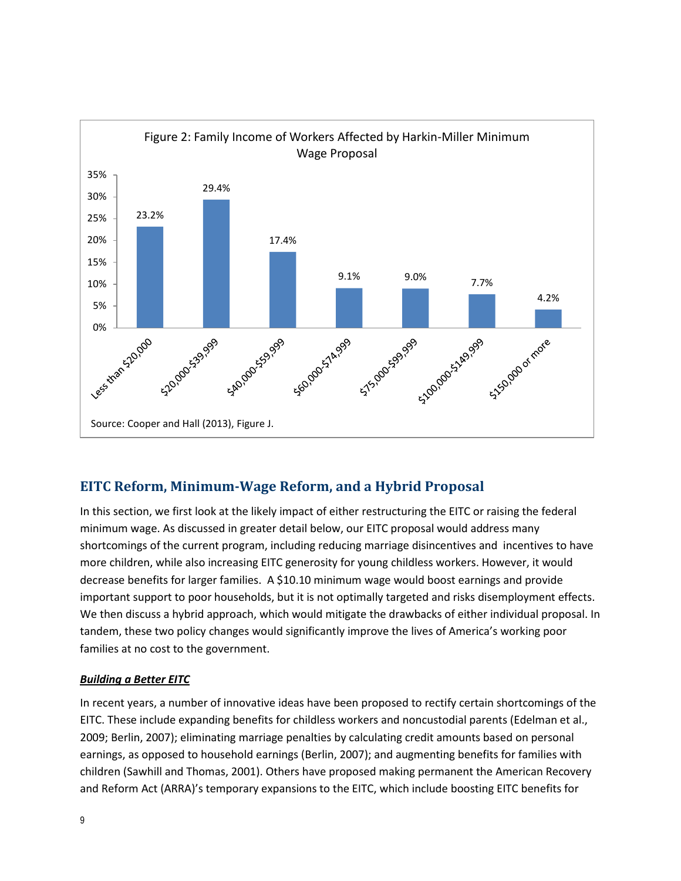

# **EITC Reform, Minimum-Wage Reform, and a Hybrid Proposal**

In this section, we first look at the likely impact of either restructuring the EITC or raising the federal minimum wage. As discussed in greater detail below, our EITC proposal would address many shortcomings of the current program, including reducing marriage disincentives and incentives to have more children, while also increasing EITC generosity for young childless workers. However, it would decrease benefits for larger families. A \$10.10 minimum wage would boost earnings and provide important support to poor households, but it is not optimally targeted and risks disemployment effects. We then discuss a hybrid approach, which would mitigate the drawbacks of either individual proposal. In tandem, these two policy changes would significantly improve the lives of America's working poor families at no cost to the government.

#### *Building a Better EITC*

In recent years, a number of innovative ideas have been proposed to rectify certain shortcomings of the EITC. These include expanding benefits for childless workers and noncustodial parents (Edelman et al., 2009; Berlin, 2007); eliminating marriage penalties by calculating credit amounts based on personal earnings, as opposed to household earnings (Berlin, 2007); and augmenting benefits for families with children (Sawhill and Thomas, 2001). Others have proposed making permanent the American Recovery and Reform Act (ARRA)'s temporary expansions to the EITC, which include boosting EITC benefits for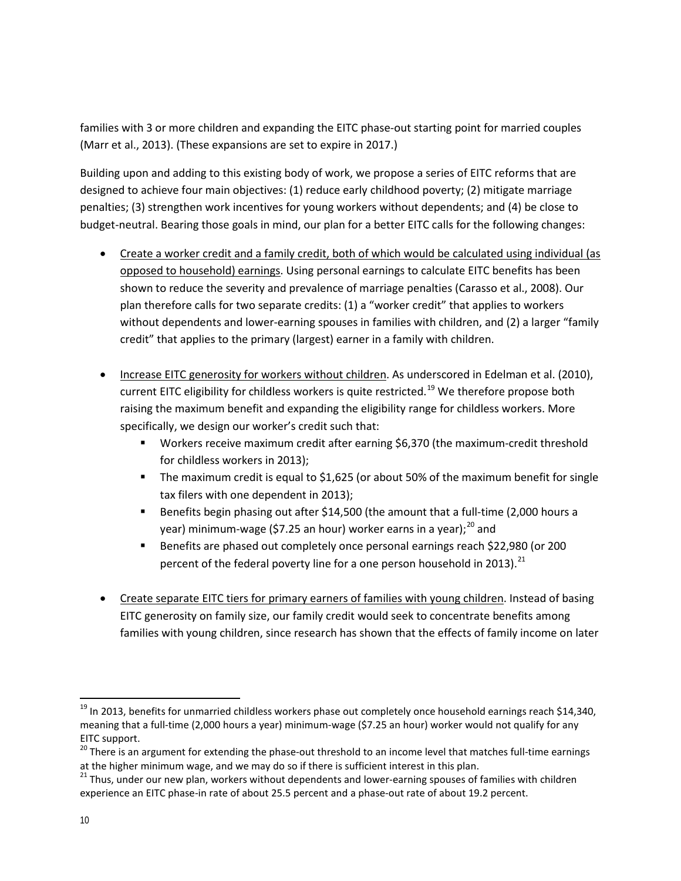families with 3 or more children and expanding the EITC phase-out starting point for married couples (Marr et al., 2013). (These expansions are set to expire in 2017.)

Building upon and adding to this existing body of work, we propose a series of EITC reforms that are designed to achieve four main objectives: (1) reduce early childhood poverty; (2) mitigate marriage penalties; (3) strengthen work incentives for young workers without dependents; and (4) be close to budget-neutral. Bearing those goals in mind, our plan for a better EITC calls for the following changes:

- Create a worker credit and a family credit, both of which would be calculated using individual (as opposed to household) earnings. Using personal earnings to calculate EITC benefits has been shown to reduce the severity and prevalence of marriage penalties (Carasso et al., 2008). Our plan therefore calls for two separate credits: (1) a "worker credit" that applies to workers without dependents and lower-earning spouses in families with children, and (2) a larger "family credit" that applies to the primary (largest) earner in a family with children.
- Increase EITC generosity for workers without children. As underscored in Edelman et al. (2010), current EITC eligibility for childless workers is quite restricted.<sup>[19](#page-9-0)</sup> We therefore propose both raising the maximum benefit and expanding the eligibility range for childless workers. More specifically, we design our worker's credit such that:
	- Workers receive maximum credit after earning \$6,370 (the maximum-credit threshold for childless workers in 2013);
	- The maximum credit is equal to \$1,625 (or about 50% of the maximum benefit for single tax filers with one dependent in 2013);
	- Benefits begin phasing out after \$14,500 (the amount that a full-time (2,000 hours a year) minimum-wage (\$7.25 an hour) worker earns in a year);<sup>[20](#page-9-1)</sup> and
	- Benefits are phased out completely once personal earnings reach \$22,980 (or 200 percent of the federal poverty line for a one person household in 2013). $^{21}$  $^{21}$  $^{21}$
- Create separate EITC tiers for primary earners of families with young children. Instead of basing EITC generosity on family size, our family credit would seek to concentrate benefits among families with young children, since research has shown that the effects of family income on later

<span id="page-9-0"></span> $^{19}$  In 2013, benefits for unmarried childless workers phase out completely once household earnings reach \$14,340, meaning that a full-time (2,000 hours a year) minimum-wage (\$7.25 an hour) worker would not qualify for any EITC support.

<span id="page-9-1"></span><sup>&</sup>lt;sup>20</sup> There is an argument for extending the phase-out threshold to an income level that matches full-time earnings at the higher minimum wage, and we may do so if there is sufficient interest in this plan.

<span id="page-9-2"></span><sup>&</sup>lt;sup>21</sup> Thus, under our new plan, workers without dependents and lower-earning spouses of families with children experience an EITC phase-in rate of about 25.5 percent and a phase-out rate of about 19.2 percent.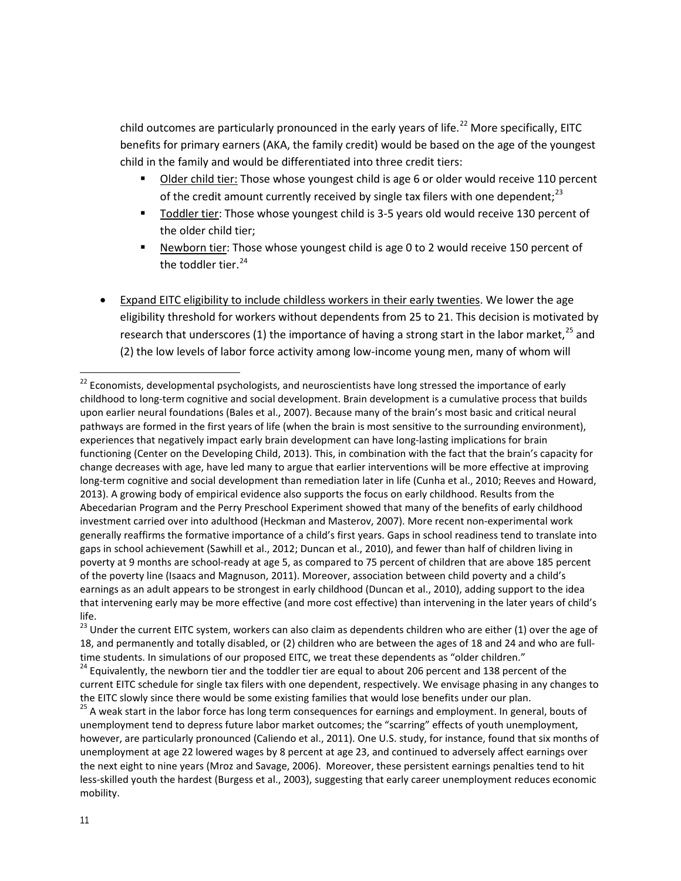child outcomes are particularly pronounced in the early years of life.<sup>[22](#page-10-0)</sup> More specifically, EITC benefits for primary earners (AKA, the family credit) would be based on the age of the youngest child in the family and would be differentiated into three credit tiers:

- Older child tier: Those whose youngest child is age 6 or older would receive 110 percent of the credit amount currently received by single tax filers with one dependent;<sup>[23](#page-10-1)</sup>
- Toddler tier: Those whose youngest child is 3-5 years old would receive 130 percent of the older child tier;
- Newborn tier: Those whose youngest child is age 0 to 2 would receive 150 percent of the toddler tier. $24$
- Expand EITC eligibility to include childless workers in their early twenties. We lower the age eligibility threshold for workers without dependents from 25 to 21. This decision is motivated by research that underscores (1) the importance of having a strong start in the labor market,<sup>[25](#page-10-3)</sup> and (2) the low levels of labor force activity among low-income young men, many of whom will

<span id="page-10-0"></span> $^{22}$  Economists, developmental psychologists, and neuroscientists have long stressed the importance of early childhood to long-term cognitive and social development. Brain development is a cumulative process that builds upon earlier neural foundations (Bales et al., 2007). Because many of the brain's most basic and critical neural pathways are formed in the first years of life (when the brain is most sensitive to the surrounding environment), experiences that negatively impact early brain development can have long-lasting implications for brain functioning (Center on the Developing Child, 2013). This, in combination with the fact that the brain's capacity for change decreases with age, have led many to argue that earlier interventions will be more effective at improving long-term cognitive and social development than remediation later in life (Cunha et al., 2010; Reeves and Howard, 2013). A growing body of empirical evidence also supports the focus on early childhood. Results from the Abecedarian Program and the Perry Preschool Experiment showed that many of the benefits of early childhood investment carried over into adulthood (Heckman and Masterov, 2007). More recent non-experimental work generally reaffirms the formative importance of a child's first years. Gaps in school readiness tend to translate into gaps in school achievement (Sawhill et al., 2012; Duncan et al., 2010), and fewer than half of children living in poverty at 9 months are school-ready at age 5, as compared to 75 percent of children that are above 185 percent of the poverty line (Isaacs and Magnuson, 2011). Moreover, association between child poverty and a child's earnings as an adult appears to be strongest in early childhood (Duncan et al., 2010), adding support to the idea that intervening early may be more effective (and more cost effective) than intervening in the later years of child's life.

<span id="page-10-1"></span><sup>&</sup>lt;sup>23</sup> Under the current EITC system, workers can also claim as dependents children who are either (1) over the age of 18, and permanently and totally disabled, or (2) children who are between the ages of 18 and 24 and who are fulltime students. In simulations of our proposed EITC, we treat these dependents as "older children."

<span id="page-10-2"></span> $24$  Equivalently, the newborn tier and the toddler tier are equal to about 206 percent and 138 percent of the current EITC schedule for single tax filers with one dependent, respectively. We envisage phasing in any changes to the EITC slowly since there would be some existing families that would lose benefits under our plan.<br><sup>25</sup> A weak start in the labor force has long term consequences for earnings and employment. In general, bouts of

<span id="page-10-3"></span>unemployment tend to depress future labor market outcomes; the "scarring" effects of youth unemployment, however, are particularly pronounced (Caliendo et al., 2011). One U.S. study, for instance, found that six months of unemployment at age 22 lowered wages by 8 percent at age 23, and continued to adversely affect earnings over the next eight to nine years (Mroz and Savage, 2006). Moreover, these persistent earnings penalties tend to hit less-skilled youth the hardest (Burgess et al., 2003), suggesting that early career unemployment reduces economic mobility.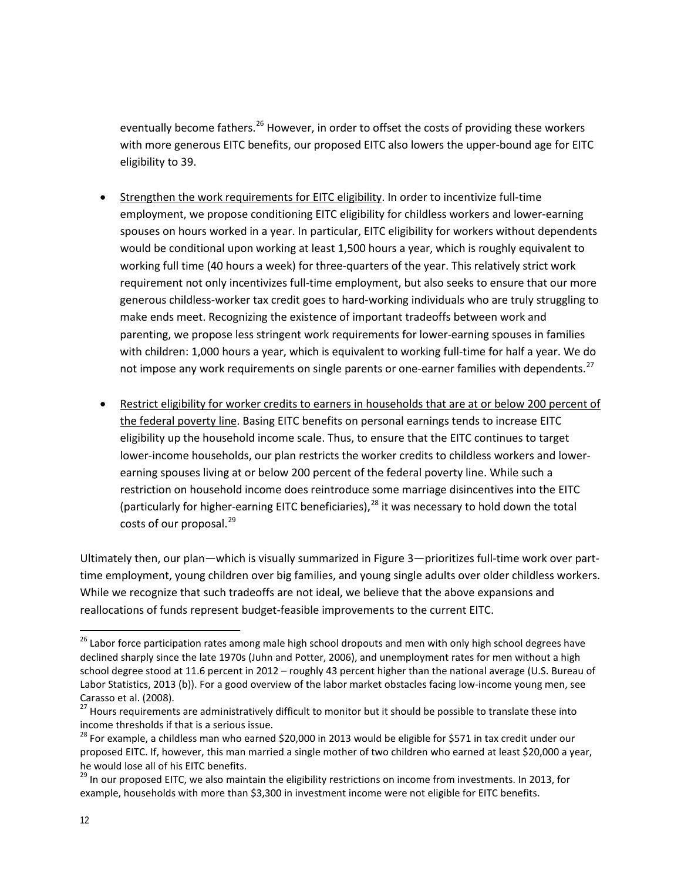eventually become fathers.<sup>[26](#page-11-0)</sup> However, in order to offset the costs of providing these workers with more generous EITC benefits, our proposed EITC also lowers the upper-bound age for EITC eligibility to 39.

- Strengthen the work requirements for EITC eligibility. In order to incentivize full-time employment, we propose conditioning EITC eligibility for childless workers and lower-earning spouses on hours worked in a year. In particular, EITC eligibility for workers without dependents would be conditional upon working at least 1,500 hours a year, which is roughly equivalent to working full time (40 hours a week) for three-quarters of the year. This relatively strict work requirement not only incentivizes full-time employment, but also seeks to ensure that our more generous childless-worker tax credit goes to hard-working individuals who are truly struggling to make ends meet. Recognizing the existence of important tradeoffs between work and parenting, we propose less stringent work requirements for lower-earning spouses in families with children: 1,000 hours a year, which is equivalent to working full-time for half a year. We do not impose any work requirements on single parents or one-earner families with dependents.<sup>[27](#page-11-1)</sup>
- Restrict eligibility for worker credits to earners in households that are at or below 200 percent of the federal poverty line. Basing EITC benefits on personal earnings tends to increase EITC eligibility up the household income scale. Thus, to ensure that the EITC continues to target lower-income households, our plan restricts the worker credits to childless workers and lowerearning spouses living at or below 200 percent of the federal poverty line. While such a restriction on household income does reintroduce some marriage disincentives into the EITC (particularly for higher-earning EITC beneficiaries),<sup>[28](#page-11-2)</sup> it was necessary to hold down the total costs of our proposal.<sup>[29](#page-11-3)</sup>

Ultimately then, our plan—which is visually summarized in Figure 3—prioritizes full-time work over parttime employment, young children over big families, and young single adults over older childless workers. While we recognize that such tradeoffs are not ideal, we believe that the above expansions and reallocations of funds represent budget-feasible improvements to the current EITC.

<span id="page-11-0"></span><sup>&</sup>lt;sup>26</sup> Labor force participation rates among male high school dropouts and men with only high school degrees have declined sharply since the late 1970s (Juhn and Potter, 2006), and unemployment rates for men without a high school degree stood at 11.6 percent in 2012 – roughly 43 percent higher than the national average (U.S. Bureau of Labor Statistics, 2013 (b)). For a good overview of the labor market obstacles facing low-income young men, see

<span id="page-11-1"></span>Carasso et al. (2008).<br><sup>27</sup> Hours requirements are administratively difficult to monitor but it should be possible to translate these into income thresholds if that is a serious issue.

<span id="page-11-2"></span> $^{28}$  For example, a childless man who earned \$20,000 in 2013 would be eligible for \$571 in tax credit under our proposed EITC. If, however, this man married a single mother of two children who earned at least \$20,000 a year, he would lose all of his EITC benefits.<br><sup>29</sup> In our proposed EITC, we also maintain the eligibility restrictions on income from investments. In 2013, for

<span id="page-11-3"></span>example, households with more than \$3,300 in investment income were not eligible for EITC benefits.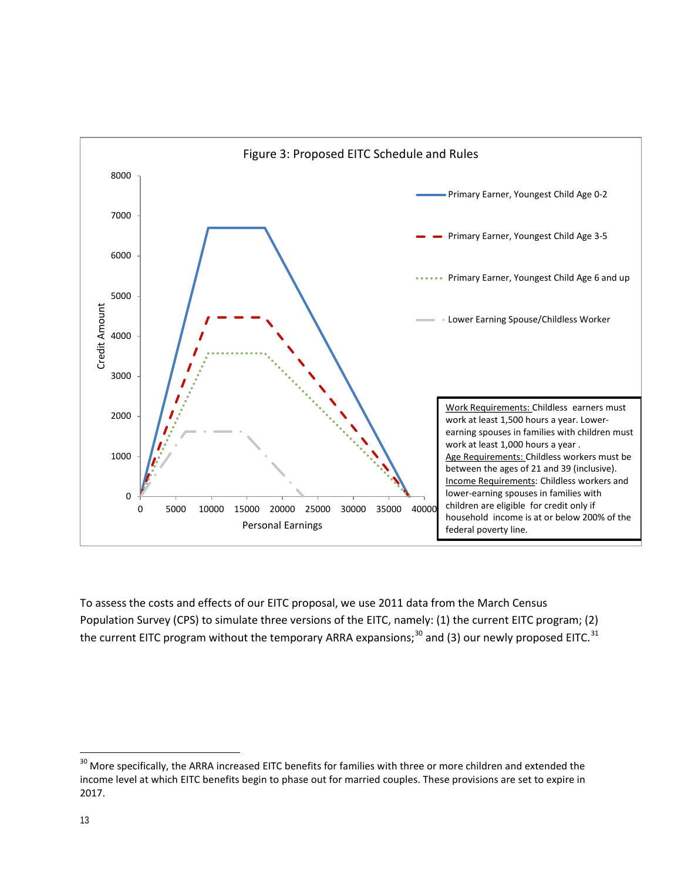

<span id="page-12-1"></span>To assess the costs and effects of our EITC proposal, we use 2011 data from the March Census Population Survey (CPS) to simulate three versions of the EITC, namely: (1) the current EITC program; (2) the current EITC program without the temporary ARRA expansions;<sup>[30](#page-12-0)</sup> and (3) our newly proposed EITC.<sup>[31](#page-12-1)</sup>

<span id="page-12-0"></span><sup>&</sup>lt;sup>30</sup> More specifically, the ARRA increased EITC benefits for families with three or more children and extended the income level at which EITC benefits begin to phase out for married couples. These provisions are set to expire in 2017.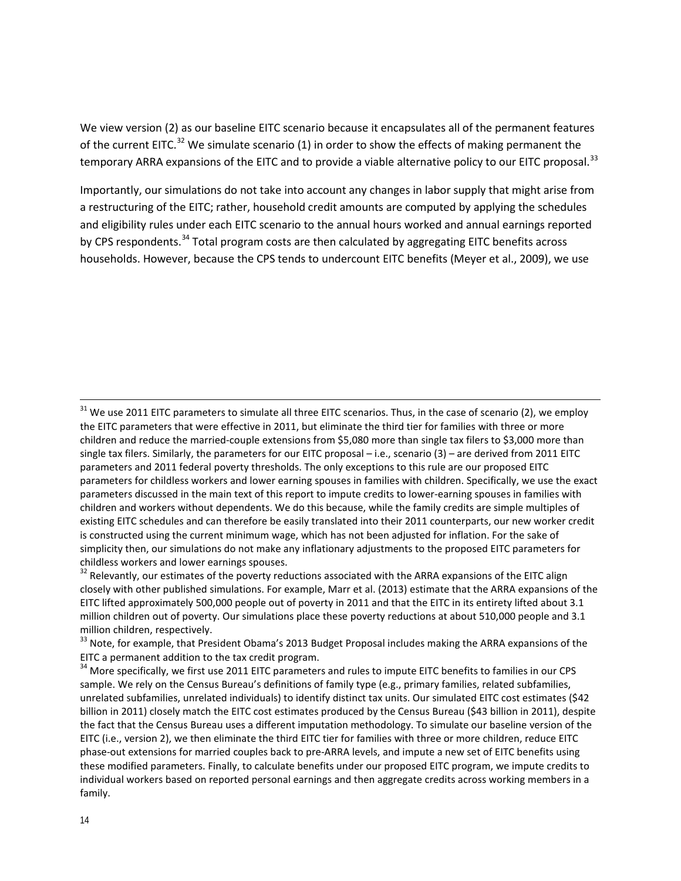We view version (2) as our baseline EITC scenario because it encapsulates all of the permanent features of the current EITC.<sup>[32](#page-13-0)</sup> We simulate scenario (1) in order to show the effects of making permanent the temporary ARRA expansions of the EITC and to provide a viable alternative policy to our EITC proposal.<sup>[33](#page-13-1)</sup>

Importantly, our simulations do not take into account any changes in labor supply that might arise from a restructuring of the EITC; rather, household credit amounts are computed by applying the schedules and eligibility rules under each EITC scenario to the annual hours worked and annual earnings reported by CPS respondents.<sup>[34](#page-13-2)</sup> Total program costs are then calculated by aggregating EITC benefits across households. However, because the CPS tends to undercount EITC benefits (Meyer et al., 2009), we use

<span id="page-13-0"></span><sup>32</sup> Relevantly, our estimates of the poverty reductions associated with the ARRA expansions of the EITC align closely with other published simulations. For example, Marr et al. (2013) estimate that the ARRA expansions of the EITC lifted approximately 500,000 people out of poverty in 2011 and that the EITC in its entirety lifted about 3.1 million children out of poverty. Our simulations place these poverty reductions at about 510,000 people and 3.1 million children, respectively.

<span id="page-13-1"></span><sup>33</sup> Note, for example, that President Obama's 2013 Budget Proposal includes making the ARRA expansions of the EITC a permanent addition to the tax credit program.

<span id="page-13-2"></span><sup>34</sup> More specifically, we first use 2011 EITC parameters and rules to impute EITC benefits to families in our CPS sample. We rely on the Census Bureau's definitions of family type (e.g., primary families, related subfamilies, unrelated subfamilies, unrelated individuals) to identify distinct tax units. Our simulated EITC cost estimates (\$42 billion in 2011) closely match the EITC cost estimates produced by the Census Bureau (\$43 billion in 2011), despite the fact that the Census Bureau uses a different imputation methodology. To simulate our baseline version of the EITC (i.e., version 2), we then eliminate the third EITC tier for families with three or more children, reduce EITC phase-out extensions for married couples back to pre-ARRA levels, and impute a new set of EITC benefits using these modified parameters. Finally, to calculate benefits under our proposed EITC program, we impute credits to individual workers based on reported personal earnings and then aggregate credits across working members in a family.

 $31$  We use 2011 EITC parameters to simulate all three EITC scenarios. Thus, in the case of scenario (2), we employ the EITC parameters that were effective in 2011, but eliminate the third tier for families with three or more children and reduce the married-couple extensions from \$5,080 more than single tax filers to \$3,000 more than single tax filers. Similarly, the parameters for our EITC proposal – i.e., scenario (3) – are derived from 2011 EITC parameters and 2011 federal poverty thresholds. The only exceptions to this rule are our proposed EITC parameters for childless workers and lower earning spouses in families with children. Specifically, we use the exact parameters discussed in the main text of this report to impute credits to lower-earning spouses in families with children and workers without dependents. We do this because, while the family credits are simple multiples of existing EITC schedules and can therefore be easily translated into their 2011 counterparts, our new worker credit is constructed using the current minimum wage, which has not been adjusted for inflation. For the sake of simplicity then, our simulations do not make any inflationary adjustments to the proposed EITC parameters for childless workers and lower earnings spouses.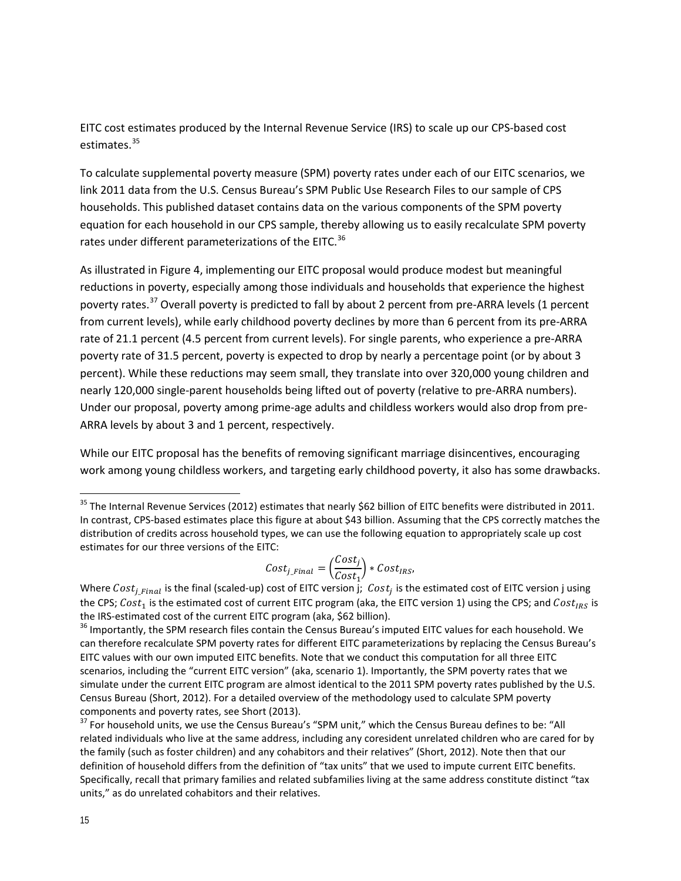EITC cost estimates produced by the Internal Revenue Service (IRS) to scale up our CPS-based cost estimates. [35](#page-14-0)

To calculate supplemental poverty measure (SPM) poverty rates under each of our EITC scenarios, we link 2011 data from the U.S. Census Bureau's SPM Public Use Research Files to our sample of CPS households. This published dataset contains data on the various components of the SPM poverty equation for each household in our CPS sample, thereby allowing us to easily recalculate SPM poverty rates under different parameterizations of the EITC.<sup>[36](#page-14-1)</sup>

As illustrated in Figure 4, implementing our EITC proposal would produce modest but meaningful reductions in poverty, especially among those individuals and households that experience the highest poverty rates.<sup>[37](#page-14-2)</sup> Overall poverty is predicted to fall by about 2 percent from pre-ARRA levels (1 percent from current levels), while early childhood poverty declines by more than 6 percent from its pre-ARRA rate of 21.1 percent (4.5 percent from current levels). For single parents, who experience a pre-ARRA poverty rate of 31.5 percent, poverty is expected to drop by nearly a percentage point (or by about 3 percent). While these reductions may seem small, they translate into over 320,000 young children and nearly 120,000 single-parent households being lifted out of poverty (relative to pre-ARRA numbers). Under our proposal, poverty among prime-age adults and childless workers would also drop from pre-ARRA levels by about 3 and 1 percent, respectively.

While our EITC proposal has the benefits of removing significant marriage disincentives, encouraging work among young childless workers, and targeting early childhood poverty, it also has some drawbacks.

$$
Cost_{j\_Final} = \left(\frac{Cost_j}{Cost_1}\right) * Cost_{IRS},
$$

<span id="page-14-0"></span><sup>&</sup>lt;sup>35</sup> The Internal Revenue Services (2012) estimates that nearly \$62 billion of EITC benefits were distributed in 2011. In contrast, CPS-based estimates place this figure at about \$43 billion. Assuming that the CPS correctly matches the distribution of credits across household types, we can use the following equation to appropriately scale up cost estimates for our three versions of the EITC:

Where  $Cost_{j\_Final}$  is the final (scaled-up) cost of EITC version j;  $Cost_j$  is the estimated cost of EITC version j using the CPS;  $Cost_1$  is the estimated cost of current EITC program (aka, the EITC version 1) using the CPS; and  $Cost_{IRS}$  is the IRS-estimated cost of the current EITC program (aka, \$62 billion).

<span id="page-14-1"></span> $36$  Importantly, the SPM research files contain the Census Bureau's imputed EITC values for each household. We can therefore recalculate SPM poverty rates for different EITC parameterizations by replacing the Census Bureau's EITC values with our own imputed EITC benefits. Note that we conduct this computation for all three EITC scenarios, including the "current EITC version" (aka, scenario 1). Importantly, the SPM poverty rates that we simulate under the current EITC program are almost identical to the 2011 SPM poverty rates published by the U.S. Census Bureau (Short, 2012). For a detailed overview of the methodology used to calculate SPM poverty components and poverty rates, see Short (2013).<br><sup>37</sup> For household units, we use the Census Bureau's "SPM unit," which the Census Bureau defines to be: "All

<span id="page-14-2"></span>related individuals who live at the same address, including any coresident unrelated children who are cared for by the family (such as foster children) and any cohabitors and their relatives" (Short, 2012). Note then that our definition of household differs from the definition of "tax units" that we used to impute current EITC benefits. Specifically, recall that primary families and related subfamilies living at the same address constitute distinct "tax units," as do unrelated cohabitors and their relatives.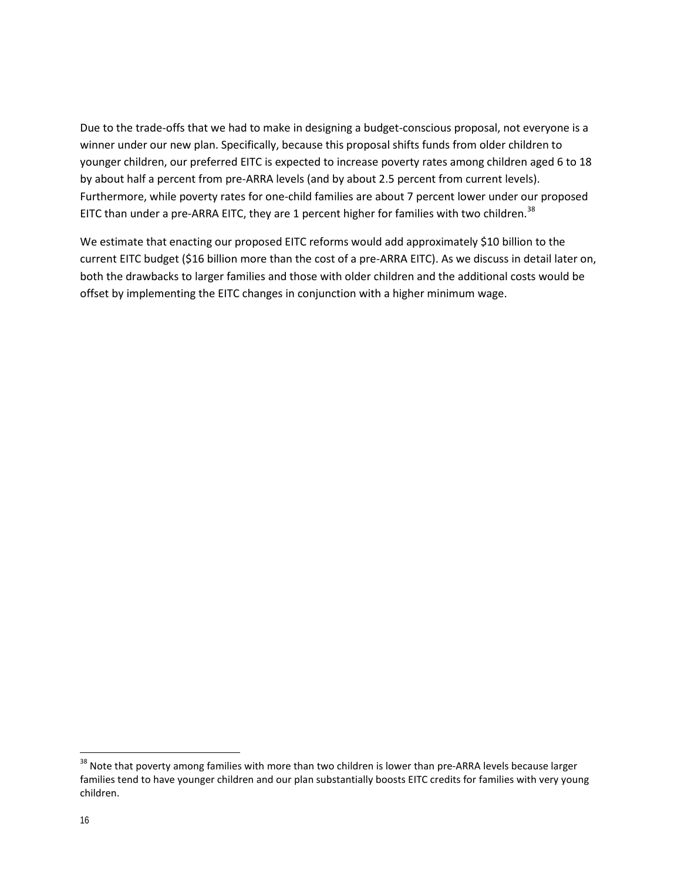Due to the trade-offs that we had to make in designing a budget-conscious proposal, not everyone is a winner under our new plan. Specifically, because this proposal shifts funds from older children to younger children, our preferred EITC is expected to increase poverty rates among children aged 6 to 18 by about half a percent from pre-ARRA levels (and by about 2.5 percent from current levels). Furthermore, while poverty rates for one-child families are about 7 percent lower under our proposed EITC than under a pre-ARRA EITC, they are 1 percent higher for families with two children.<sup>[38](#page-15-0)</sup>

We estimate that enacting our proposed EITC reforms would add approximately \$10 billion to the current EITC budget (\$16 billion more than the cost of a pre-ARRA EITC). As we discuss in detail later on, both the drawbacks to larger families and those with older children and the additional costs would be offset by implementing the EITC changes in conjunction with a higher minimum wage.

<span id="page-15-0"></span><sup>&</sup>lt;sup>38</sup> Note that poverty among families with more than two children is lower than pre-ARRA levels because larger families tend to have younger children and our plan substantially boosts EITC credits for families with very young children.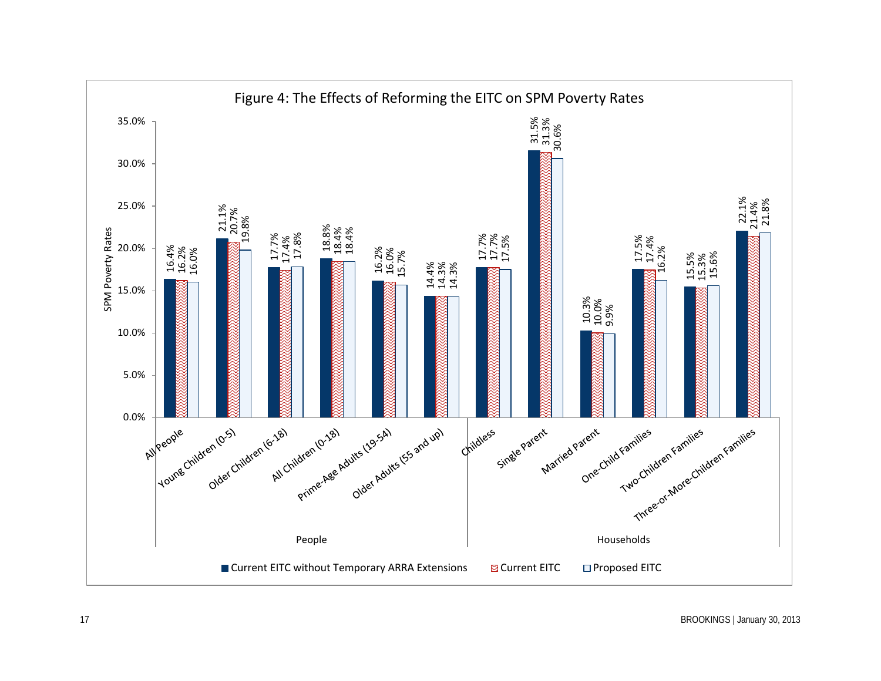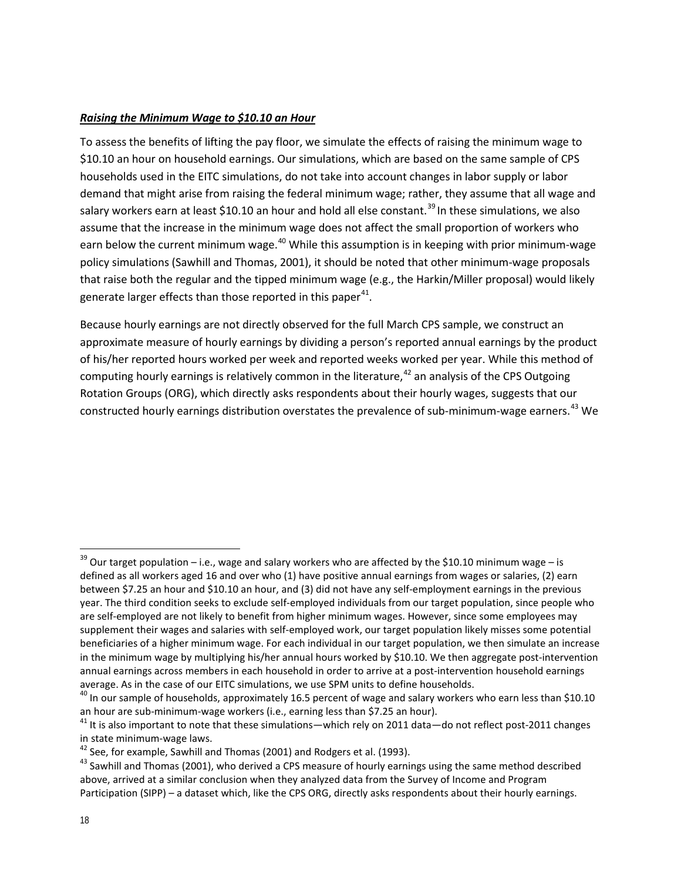#### *Raising the Minimum Wage to \$10.10 an Hour*

To assess the benefits of lifting the pay floor, we simulate the effects of raising the minimum wage to \$10.10 an hour on household earnings. Our simulations, which are based on the same sample of CPS households used in the EITC simulations, do not take into account changes in labor supply or labor demand that might arise from raising the federal minimum wage; rather, they assume that all wage and salary workers earn at least \$10.10 an hour and hold all else constant.<sup>[39](#page-17-0)</sup> In these simulations, we also assume that the increase in the minimum wage does not affect the small proportion of workers who earn below the current minimum wage.<sup>[40](#page-17-1)</sup> While this assumption is in keeping with prior minimum-wage policy simulations (Sawhill and Thomas, 2001), it should be noted that other minimum-wage proposals that raise both the regular and the tipped minimum wage (e.g., the Harkin/Miller proposal) would likely generate larger effects than those reported in this paper $41$ .

Because hourly earnings are not directly observed for the full March CPS sample, we construct an approximate measure of hourly earnings by dividing a person's reported annual earnings by the product of his/her reported hours worked per week and reported weeks worked per year. While this method of computing hourly earnings is relatively common in the literature,  $42$  an analysis of the CPS Outgoing Rotation Groups (ORG), which directly asks respondents about their hourly wages, suggests that our constructed hourly earnings distribution overstates the prevalence of sub-minimum-wage earners.<sup>[43](#page-17-4)</sup> We

<span id="page-17-0"></span> $39$  Our target population – i.e., wage and salary workers who are affected by the \$10.10 minimum wage – is defined as all workers aged 16 and over who (1) have positive annual earnings from wages or salaries, (2) earn between \$7.25 an hour and \$10.10 an hour, and (3) did not have any self-employment earnings in the previous year. The third condition seeks to exclude self-employed individuals from our target population, since people who are self-employed are not likely to benefit from higher minimum wages. However, since some employees may supplement their wages and salaries with self-employed work, our target population likely misses some potential beneficiaries of a higher minimum wage. For each individual in our target population, we then simulate an increase in the minimum wage by multiplying his/her annual hours worked by \$10.10. We then aggregate post-intervention annual earnings across members in each household in order to arrive at a post-intervention household earnings

<span id="page-17-1"></span>average. As in the case of our EITC simulations, we use SPM units to define households.<br><sup>40</sup> In our sample of households, approximately 16.5 percent of wage and salary workers who earn less than \$10.10<br>an hour are sub-mini

<span id="page-17-2"></span><sup>&</sup>lt;sup>41</sup> It is also important to note that these simulations—which rely on 2011 data—do not reflect post-2011 changes in state minimum-wage laws.<br><sup>42</sup> See, for example, Sawhill and Thomas (2001) and Rodgers et al. (1993).<br><sup>43</sup> Sawhill and Thomas (2001), who derived a CPS measure of hourly earnings using the same method described

<span id="page-17-3"></span>

<span id="page-17-4"></span>above, arrived at a similar conclusion when they analyzed data from the Survey of Income and Program Participation (SIPP) – a dataset which, like the CPS ORG, directly asks respondents about their hourly earnings.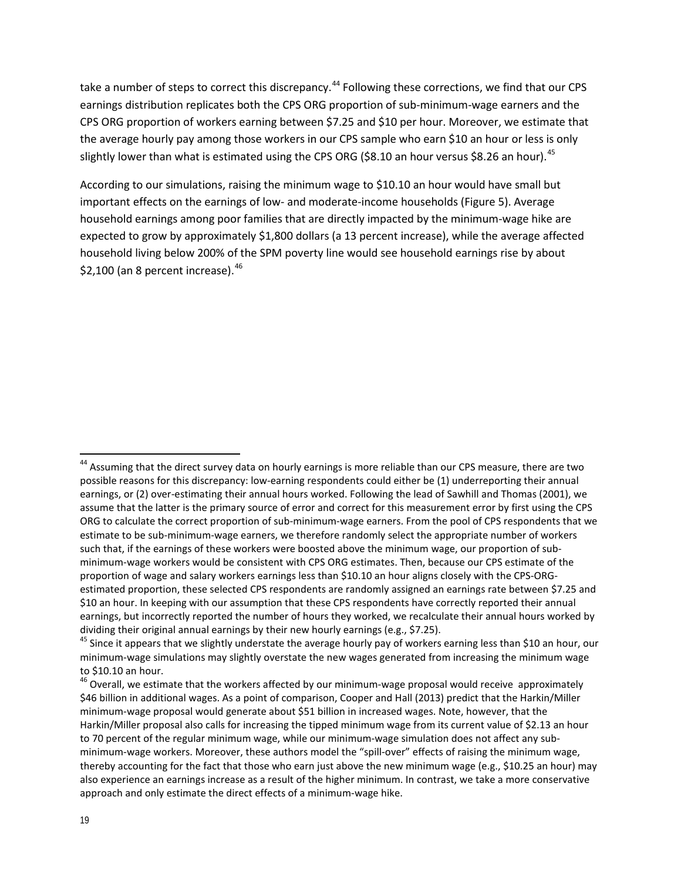take a number of steps to correct this discrepancy.<sup>[44](#page-18-0)</sup> Following these corrections, we find that our CPS earnings distribution replicates both the CPS ORG proportion of sub-minimum-wage earners and the CPS ORG proportion of workers earning between \$7.25 and \$10 per hour. Moreover, we estimate that the average hourly pay among those workers in our CPS sample who earn \$10 an hour or less is only slightly lower than what is estimated using the CPS ORG (\$8.10 an hour versus \$8.26 an hour).<sup>[45](#page-18-1)</sup>

According to our simulations, raising the minimum wage to \$10.10 an hour would have small but important effects on the earnings of low- and moderate-income households (Figure 5). Average household earnings among poor families that are directly impacted by the minimum-wage hike are expected to grow by approximately \$1,800 dollars (a 13 percent increase), while the average affected household living below 200% of the SPM poverty line would see household earnings rise by about \$2,100 (an 8 percent increase).  $46$ 

<span id="page-18-0"></span><sup>&</sup>lt;sup>44</sup> Assuming that the direct survey data on hourly earnings is more reliable than our CPS measure, there are two possible reasons for this discrepancy: low-earning respondents could either be (1) underreporting their annual earnings, or (2) over-estimating their annual hours worked. Following the lead of Sawhill and Thomas (2001), we assume that the latter is the primary source of error and correct for this measurement error by first using the CPS ORG to calculate the correct proportion of sub-minimum-wage earners. From the pool of CPS respondents that we estimate to be sub-minimum-wage earners, we therefore randomly select the appropriate number of workers such that, if the earnings of these workers were boosted above the minimum wage, our proportion of subminimum-wage workers would be consistent with CPS ORG estimates. Then, because our CPS estimate of the proportion of wage and salary workers earnings less than \$10.10 an hour aligns closely with the CPS-ORGestimated proportion, these selected CPS respondents are randomly assigned an earnings rate between \$7.25 and \$10 an hour. In keeping with our assumption that these CPS respondents have correctly reported their annual earnings, but incorrectly reported the number of hours they worked, we recalculate their annual hours worked by dividing their original annual earnings by their new hourly earnings (e.g., \$7.25).<br><sup>45</sup> Since it appears that we slightly understate the average hourly pay of workers earning less than \$10 an hour, our

<span id="page-18-1"></span>minimum-wage simulations may slightly overstate the new wages generated from increasing the minimum wage to \$10.10 an hour.

<span id="page-18-2"></span><sup>&</sup>lt;sup>46</sup> Overall, we estimate that the workers affected by our minimum-wage proposal would receive approximately \$46 billion in additional wages. As a point of comparison, Cooper and Hall (2013) predict that the Harkin/Miller minimum-wage proposal would generate about \$51 billion in increased wages. Note, however, that the Harkin/Miller proposal also calls for increasing the tipped minimum wage from its current value of \$2.13 an hour to 70 percent of the regular minimum wage, while our minimum-wage simulation does not affect any subminimum-wage workers. Moreover, these authors model the "spill-over" effects of raising the minimum wage, thereby accounting for the fact that those who earn just above the new minimum wage (e.g., \$10.25 an hour) may also experience an earnings increase as a result of the higher minimum. In contrast, we take a more conservative approach and only estimate the direct effects of a minimum-wage hike.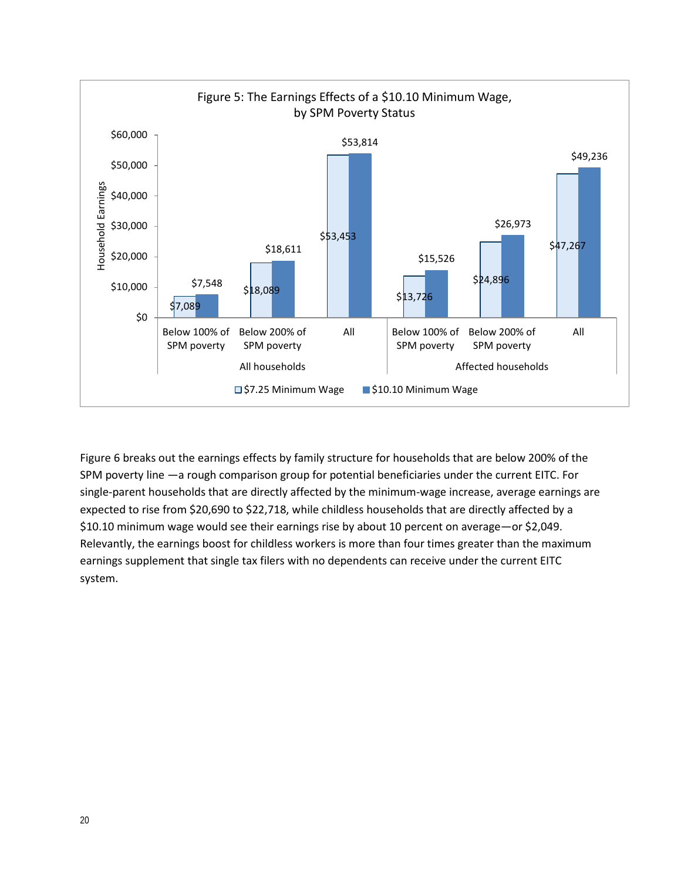![](_page_19_Figure_0.jpeg)

Figure 6 breaks out the earnings effects by family structure for households that are below 200% of the SPM poverty line —a rough comparison group for potential beneficiaries under the current EITC. For single-parent households that are directly affected by the minimum-wage increase, average earnings are expected to rise from \$20,690 to \$22,718, while childless households that are directly affected by a \$10.10 minimum wage would see their earnings rise by about 10 percent on average—or \$2,049. Relevantly, the earnings boost for childless workers is more than four times greater than the maximum earnings supplement that single tax filers with no dependents can receive under the current EITC system.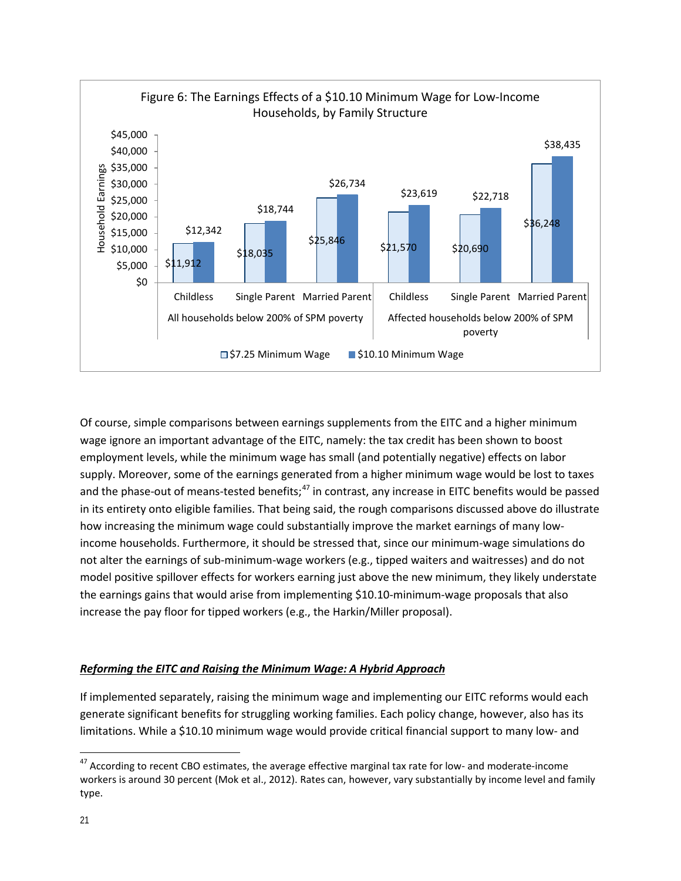![](_page_20_Figure_0.jpeg)

Of course, simple comparisons between earnings supplements from the EITC and a higher minimum wage ignore an important advantage of the EITC, namely: the tax credit has been shown to boost employment levels, while the minimum wage has small (and potentially negative) effects on labor supply. Moreover, some of the earnings generated from a higher minimum wage would be lost to taxes and the phase-out of means-tested benefits;<sup>[47](#page-20-0)</sup> in contrast, any increase in EITC benefits would be passed in its entirety onto eligible families. That being said, the rough comparisons discussed above do illustrate how increasing the minimum wage could substantially improve the market earnings of many lowincome households. Furthermore, it should be stressed that, since our minimum-wage simulations do not alter the earnings of sub-minimum-wage workers (e.g., tipped waiters and waitresses) and do not model positive spillover effects for workers earning just above the new minimum, they likely understate the earnings gains that would arise from implementing \$10.10-minimum-wage proposals that also increase the pay floor for tipped workers (e.g., the Harkin/Miller proposal).

#### *Reforming the EITC and Raising the Minimum Wage: A Hybrid Approach*

If implemented separately, raising the minimum wage and implementing our EITC reforms would each generate significant benefits for struggling working families. Each policy change, however, also has its limitations. While a \$10.10 minimum wage would provide critical financial support to many low- and

<span id="page-20-0"></span><sup>&</sup>lt;sup>47</sup> According to recent CBO estimates, the average effective marginal tax rate for low- and moderate-income workers is around 30 percent (Mok et al., 2012). Rates can, however, vary substantially by income level and family type.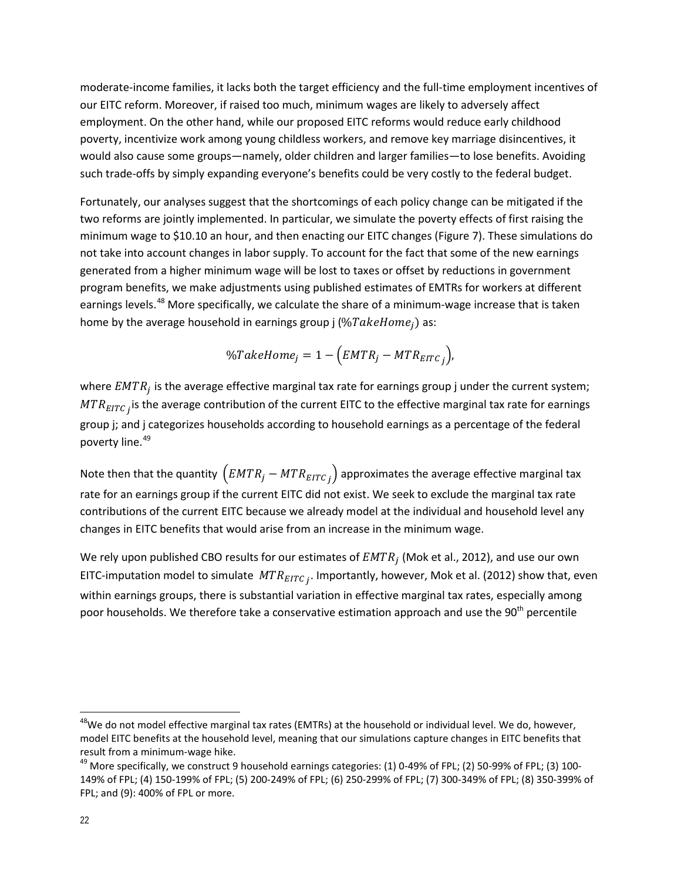moderate-income families, it lacks both the target efficiency and the full-time employment incentives of our EITC reform. Moreover, if raised too much, minimum wages are likely to adversely affect employment. On the other hand, while our proposed EITC reforms would reduce early childhood poverty, incentivize work among young childless workers, and remove key marriage disincentives, it would also cause some groups—namely, older children and larger families—to lose benefits. Avoiding such trade-offs by simply expanding everyone's benefits could be very costly to the federal budget.

Fortunately, our analyses suggest that the shortcomings of each policy change can be mitigated if the two reforms are jointly implemented. In particular, we simulate the poverty effects of first raising the minimum wage to \$10.10 an hour, and then enacting our EITC changes (Figure 7). These simulations do not take into account changes in labor supply. To account for the fact that some of the new earnings generated from a higher minimum wage will be lost to taxes or offset by reductions in government program benefits, we make adjustments using published estimates of EMTRs for workers at different earnings levels.<sup>[48](#page-21-0)</sup> More specifically, we calculate the share of a minimum-wage increase that is taken home by the average household in earnings group j (% $TakeHome_i$ ) as:

$$
\%TakeHome_j = 1 - (EMTR_j - MTR_{ETTC_j}),
$$

where  $EMTR_i$  is the average effective marginal tax rate for earnings group j under the current system;  $MTR_{EITC}$ , is the average contribution of the current EITC to the effective marginal tax rate for earnings group j; and j categorizes households according to household earnings as a percentage of the federal poverty line.<sup>[49](#page-21-1)</sup>

Note then that the quantity  $\left(EMTR_j - MTR_{ETTC_j}\right)$  approximates the average effective marginal tax rate for an earnings group if the current EITC did not exist. We seek to exclude the marginal tax rate contributions of the current EITC because we already model at the individual and household level any changes in EITC benefits that would arise from an increase in the minimum wage.

We rely upon published CBO results for our estimates of  $EMTR_i$  (Mok et al., 2012), and use our own EITC-imputation model to simulate  $MTR_{EITC,i}$ . Importantly, however, Mok et al. (2012) show that, even within earnings groups, there is substantial variation in effective marginal tax rates, especially among poor households. We therefore take a conservative estimation approach and use the 90<sup>th</sup> percentile

<span id="page-21-0"></span><sup>&</sup>lt;sup>48</sup>We do not model effective marginal tax rates (EMTRs) at the household or individual level. We do, however, model EITC benefits at the household level, meaning that our simulations capture changes in EITC benefits that result from a minimum-wage hike.<br><sup>49</sup> More specifically, we construct 9 household earnings categories: (1) 0-49% of FPL; (2) 50-99% of FPL; (3) 100-

<span id="page-21-1"></span><sup>149%</sup> of FPL; (4) 150-199% of FPL; (5) 200-249% of FPL; (6) 250-299% of FPL; (7) 300-349% of FPL; (8) 350-399% of FPL; and (9): 400% of FPL or more.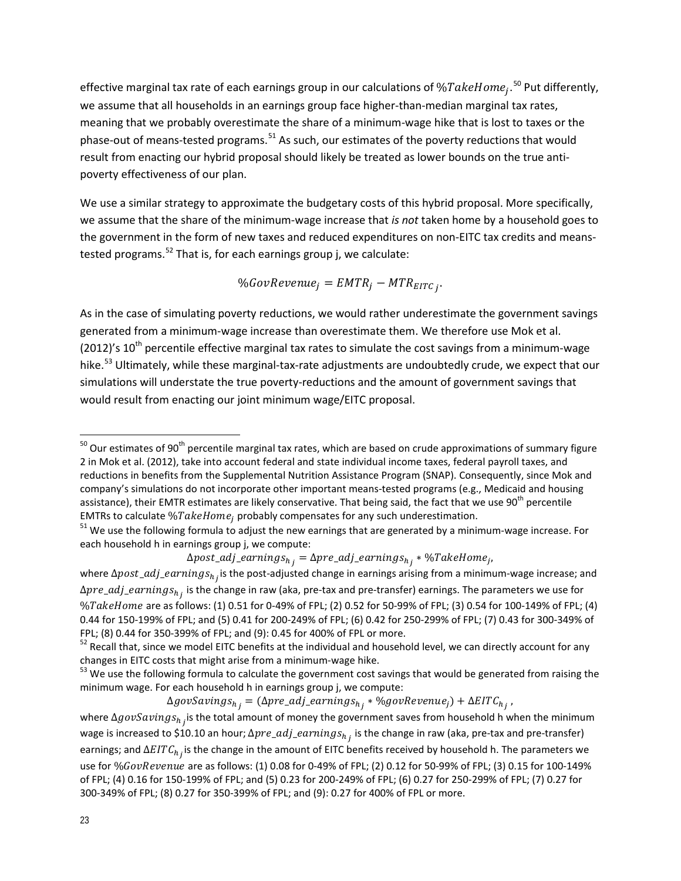effective marginal tax rate of each earnings group in our calculations of  $\% Take Home_j.$   $^{50}$  $^{50}$  $^{50}$  Put differently, we assume that all households in an earnings group face higher-than-median marginal tax rates, meaning that we probably overestimate the share of a minimum-wage hike that is lost to taxes or the phase-out of means-tested programs.<sup>[51](#page-22-1)</sup> As such, our estimates of the poverty reductions that would result from enacting our hybrid proposal should likely be treated as lower bounds on the true antipoverty effectiveness of our plan.

We use a similar strategy to approximate the budgetary costs of this hybrid proposal. More specifically, we assume that the share of the minimum-wage increase that *is not* taken home by a household goes to the government in the form of new taxes and reduced expenditures on non-EITC tax credits and meanstested programs. $52$  That is, for each earnings group j, we calculate:

$$
\%Gov Revenue_j = EMTR_j - MTR_{EITC_j}.
$$

As in the case of simulating poverty reductions, we would rather underestimate the government savings generated from a minimum-wage increase than overestimate them. We therefore use Mok et al. (2012)'s  $10^{th}$  percentile effective marginal tax rates to simulate the cost savings from a minimum-wage hike.<sup>[53](#page-22-3)</sup> Ultimately, while these marginal-tax-rate adjustments are undoubtedly crude, we expect that our simulations will understate the true poverty-reductions and the amount of government savings that would result from enacting our joint minimum wage/EITC proposal.

### $\Delta post\_adj\_earnings_{h_j} = \Delta pre\_adj\_earnings_{h_j} * \% Take Home_j,$

 $\Delta govSavings_{h_j} = (\Delta pre\_adj\_earnings_{h_j} * \%govRevenue_j) + \Delta EITC_{h_j}$ ,

<span id="page-22-0"></span> $50$  Our estimates of 90<sup>th</sup> percentile marginal tax rates, which are based on crude approximations of summary figure 2 in Mok et al. (2012), take into account federal and state individual income taxes, federal payroll taxes, and reductions in benefits from the Supplemental Nutrition Assistance Program (SNAP). Consequently, since Mok and company's simulations do not incorporate other important means-tested programs (e.g., Medicaid and housing assistance), their EMTR estimates are likely conservative. That being said, the fact that we use 90<sup>th</sup> percentile EMTRs to calculate %*TakeHome<sub>j</sub>* probably compensates for any such underestimation.<br><sup>51</sup> We use the following formula to adjust the new earnings that are generated by a minimum-wage increase. For l

<span id="page-22-1"></span>each household h in earnings group j, we compute:

where  $\Delta post\_adj\_earnings_{h_j}$  is the post-adjusted change in earnings arising from a minimum-wage increase; and  $\Delta pre\_adj\_earnings_{h_j}$  is the change in raw (aka, pre-tax and pre-transfer) earnings. The parameters we use for %TakeHome are as follows: (1) 0.51 for 0-49% of FPL; (2) 0.52 for 50-99% of FPL; (3) 0.54 for 100-149% of FPL; (4) 0.44 for 150-199% of FPL; and (5) 0.41 for 200-249% of FPL; (6) 0.42 for 250-299% of FPL; (7) 0.43 for 300-349% of<br>FPL; (8) 0.44 for 350-399% of FPL; and (9): 0.45 for 400% of FPL or more.

<span id="page-22-2"></span> $52$  Recall that, since we model EITC benefits at the individual and household level, we can directly account for any changes in EITC costs that might arise from a minimum-wage hike.<br><sup>53</sup> We use the following formula to calculate the government cost savings that would be generated from raising the

<span id="page-22-3"></span>minimum wage. For each household h in earnings group j, we compute:

where  $\Delta govSaving s_{h_i}$  is the total amount of money the government saves from household h when the minimum wage is increased to \$10.10 an hour;  $\Delta pre\_adj\_earnings_{h_i}$  is the change in raw (aka, pre-tax and pre-transfer) earnings; and  $\Delta EITC_{h_i}$  is the change in the amount of EITC benefits received by household h. The parameters we use for %GovRevenue are as follows: (1) 0.08 for 0-49% of FPL; (2) 0.12 for 50-99% of FPL; (3) 0.15 for 100-149% of FPL; (4) 0.16 for 150-199% of FPL; and (5) 0.23 for 200-249% of FPL; (6) 0.27 for 250-299% of FPL; (7) 0.27 for 300-349% of FPL; (8) 0.27 for 350-399% of FPL; and (9): 0.27 for 400% of FPL or more.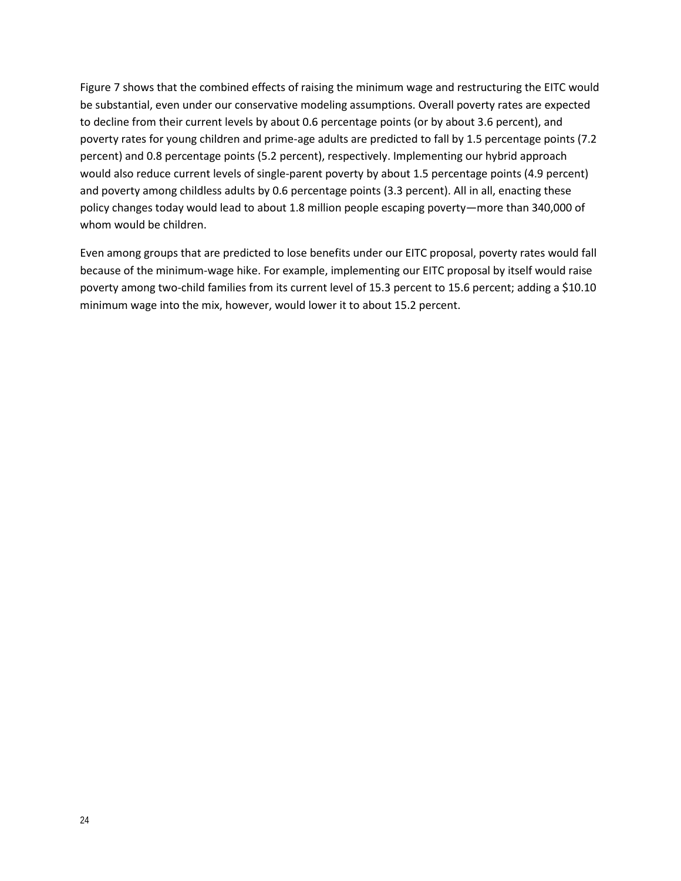Figure 7 shows that the combined effects of raising the minimum wage and restructuring the EITC would be substantial, even under our conservative modeling assumptions. Overall poverty rates are expected to decline from their current levels by about 0.6 percentage points (or by about 3.6 percent), and poverty rates for young children and prime-age adults are predicted to fall by 1.5 percentage points (7.2 percent) and 0.8 percentage points (5.2 percent), respectively. Implementing our hybrid approach would also reduce current levels of single-parent poverty by about 1.5 percentage points (4.9 percent) and poverty among childless adults by 0.6 percentage points (3.3 percent). All in all, enacting these policy changes today would lead to about 1.8 million people escaping poverty—more than 340,000 of whom would be children.

Even among groups that are predicted to lose benefits under our EITC proposal, poverty rates would fall because of the minimum-wage hike. For example, implementing our EITC proposal by itself would raise poverty among two-child families from its current level of 15.3 percent to 15.6 percent; adding a \$10.10 minimum wage into the mix, however, would lower it to about 15.2 percent.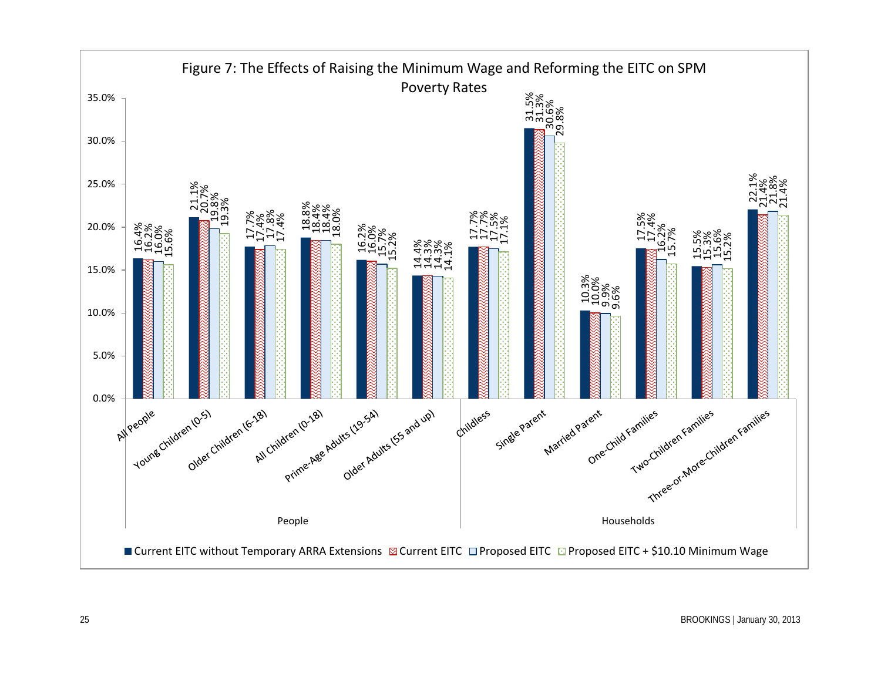![](_page_24_Figure_0.jpeg)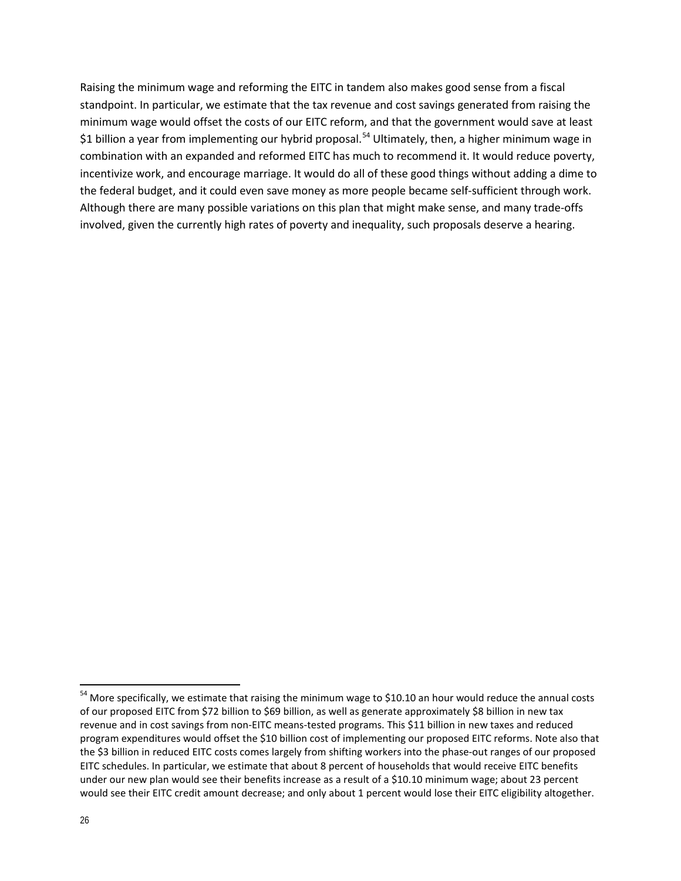Raising the minimum wage and reforming the EITC in tandem also makes good sense from a fiscal standpoint. In particular, we estimate that the tax revenue and cost savings generated from raising the minimum wage would offset the costs of our EITC reform, and that the government would save at least \$1 billion a year from implementing our hybrid proposal.<sup>[54](#page-25-0)</sup> Ultimately, then, a higher minimum wage in combination with an expanded and reformed EITC has much to recommend it. It would reduce poverty, incentivize work, and encourage marriage. It would do all of these good things without adding a dime to the federal budget, and it could even save money as more people became self-sufficient through work. Although there are many possible variations on this plan that might make sense, and many trade-offs involved, given the currently high rates of poverty and inequality, such proposals deserve a hearing.

<span id="page-25-0"></span><sup>&</sup>lt;sup>54</sup> More specifically, we estimate that raising the minimum wage to \$10.10 an hour would reduce the annual costs of our proposed EITC from \$72 billion to \$69 billion, as well as generate approximately \$8 billion in new tax revenue and in cost savings from non-EITC means-tested programs. This \$11 billion in new taxes and reduced program expenditures would offset the \$10 billion cost of implementing our proposed EITC reforms. Note also that the \$3 billion in reduced EITC costs comes largely from shifting workers into the phase-out ranges of our proposed EITC schedules. In particular, we estimate that about 8 percent of households that would receive EITC benefits under our new plan would see their benefits increase as a result of a \$10.10 minimum wage; about 23 percent would see their EITC credit amount decrease; and only about 1 percent would lose their EITC eligibility altogether.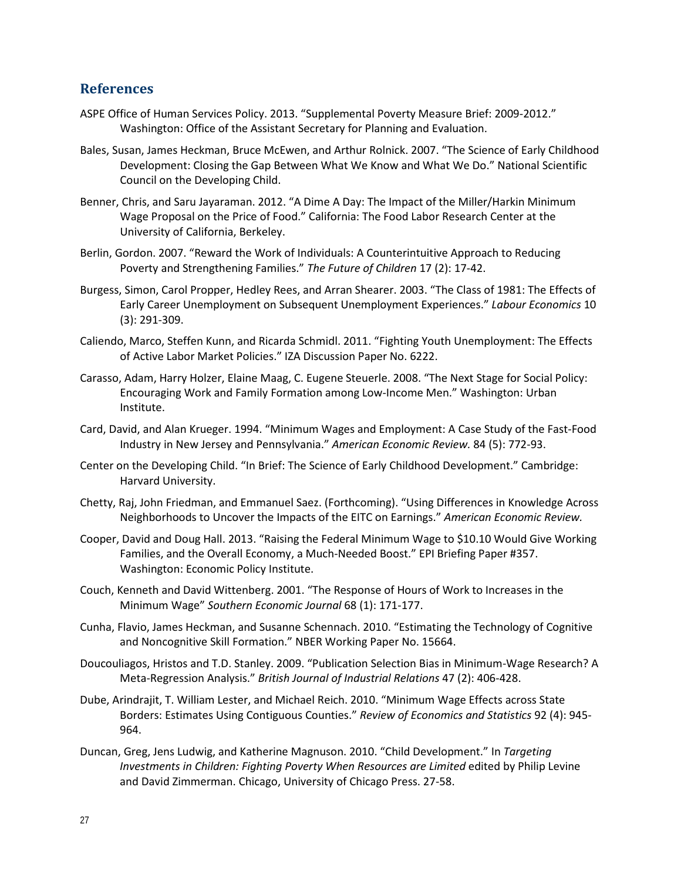#### **References**

- ASPE Office of Human Services Policy. 2013. "Supplemental Poverty Measure Brief: 2009-2012." Washington: Office of the Assistant Secretary for Planning and Evaluation.
- Bales, Susan, James Heckman, Bruce McEwen, and Arthur Rolnick. 2007. "The Science of Early Childhood Development: Closing the Gap Between What We Know and What We Do." National Scientific Council on the Developing Child.
- Benner, Chris, and Saru Jayaraman. 2012. "A Dime A Day: The Impact of the Miller/Harkin Minimum Wage Proposal on the Price of Food." California: The Food Labor Research Center at the University of California, Berkeley.
- Berlin, Gordon. 2007. "Reward the Work of Individuals: A Counterintuitive Approach to Reducing Poverty and Strengthening Families." *The Future of Children* 17 (2): 17-42.
- Burgess, Simon, Carol Propper, Hedley Rees, and Arran Shearer. 2003. "The Class of 1981: The Effects of Early Career Unemployment on Subsequent Unemployment Experiences." *Labour Economics* 10 (3): 291-309.
- Caliendo, Marco, Steffen Kunn, and Ricarda Schmidl. 2011. "Fighting Youth Unemployment: The Effects of Active Labor Market Policies." IZA Discussion Paper No. 6222.
- Carasso, Adam, Harry Holzer, Elaine Maag, C. Eugene Steuerle. 2008. "The Next Stage for Social Policy: Encouraging Work and Family Formation among Low-Income Men." Washington: Urban Institute.
- Card, David, and Alan Krueger. 1994. "Minimum Wages and Employment: A Case Study of the Fast-Food Industry in New Jersey and Pennsylvania." *American Economic Review.* 84 (5): 772-93.
- Center on the Developing Child. "In Brief: The Science of Early Childhood Development." Cambridge: Harvard University.
- Chetty, Raj, John Friedman, and Emmanuel Saez. (Forthcoming). "Using Differences in Knowledge Across Neighborhoods to Uncover the Impacts of the EITC on Earnings." *American Economic Review.*
- Cooper, David and Doug Hall. 2013. "Raising the Federal Minimum Wage to \$10.10 Would Give Working Families, and the Overall Economy, a Much-Needed Boost." EPI Briefing Paper #357. Washington: Economic Policy Institute.
- Couch, Kenneth and David Wittenberg. 2001. "The Response of Hours of Work to Increases in the Minimum Wage" *Southern Economic Journal* 68 (1): 171-177.
- Cunha, Flavio, James Heckman, and Susanne Schennach. 2010. "Estimating the Technology of Cognitive and Noncognitive Skill Formation." NBER Working Paper No. 15664.
- Doucouliagos, Hristos and T.D. Stanley. 2009. "Publication Selection Bias in Minimum-Wage Research? A Meta-Regression Analysis." *British Journal of Industrial Relations* 47 (2): 406-428.
- Dube, Arindrajit, T. William Lester, and Michael Reich. 2010. "Minimum Wage Effects across State Borders: Estimates Using Contiguous Counties." *Review of Economics and Statistics* 92 (4): 945- 964.
- Duncan, Greg, Jens Ludwig, and Katherine Magnuson. 2010. "Child Development." In *Targeting Investments in Children: Fighting Poverty When Resources are Limited* edited by Philip Levine and David Zimmerman. Chicago, University of Chicago Press. 27-58.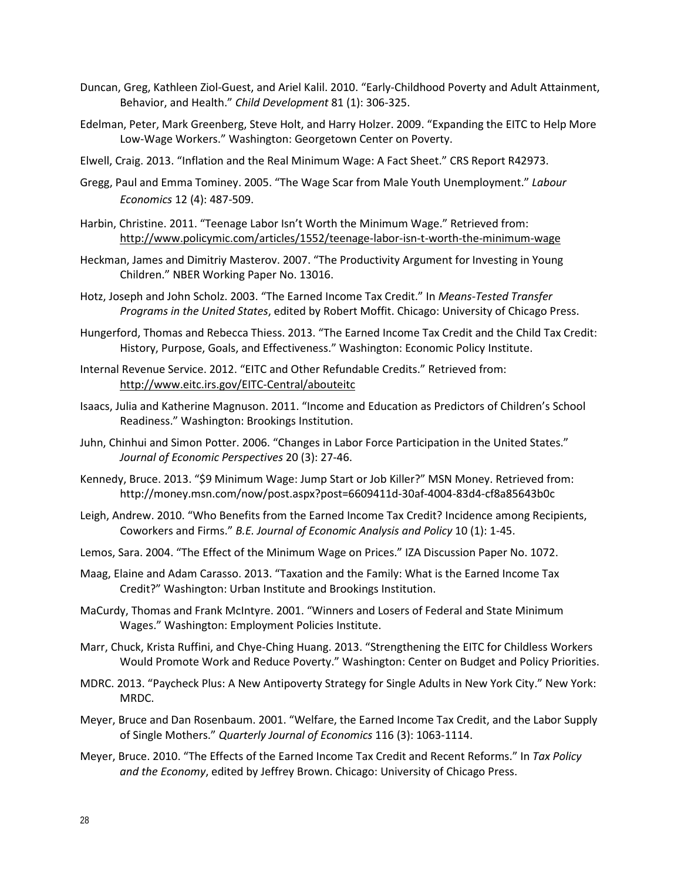- Duncan, Greg, Kathleen Ziol-Guest, and Ariel Kalil. 2010. "Early-Childhood Poverty and Adult Attainment, Behavior, and Health." *Child Development* 81 (1): 306-325.
- Edelman, Peter, Mark Greenberg, Steve Holt, and Harry Holzer. 2009. "Expanding the EITC to Help More Low-Wage Workers." Washington: Georgetown Center on Poverty.
- Elwell, Craig. 2013. "Inflation and the Real Minimum Wage: A Fact Sheet." CRS Report R42973.
- Gregg, Paul and Emma Tominey. 2005. "The Wage Scar from Male Youth Unemployment." *Labour Economics* 12 (4): 487-509.
- Harbin, Christine. 2011. "Teenage Labor Isn't Worth the Minimum Wage." Retrieved from: <http://www.policymic.com/articles/1552/teenage-labor-isn-t-worth-the-minimum-wage>
- Heckman, James and Dimitriy Masterov. 2007. "The Productivity Argument for Investing in Young Children." NBER Working Paper No. 13016.
- Hotz, Joseph and John Scholz. 2003. "The Earned Income Tax Credit." In *Means-Tested Transfer Programs in the United States*, edited by Robert Moffit. Chicago: University of Chicago Press.
- Hungerford, Thomas and Rebecca Thiess. 2013. "The Earned Income Tax Credit and the Child Tax Credit: History, Purpose, Goals, and Effectiveness." Washington: Economic Policy Institute.
- Internal Revenue Service. 2012. "EITC and Other Refundable Credits." Retrieved from: <http://www.eitc.irs.gov/EITC-Central/abouteitc>
- Isaacs, Julia and Katherine Magnuson. 2011. "Income and Education as Predictors of Children's School Readiness." Washington: Brookings Institution.
- Juhn, Chinhui and Simon Potter. 2006. "Changes in Labor Force Participation in the United States." *Journal of Economic Perspectives* 20 (3): 27-46.
- Kennedy, Bruce. 2013. "\$9 Minimum Wage: Jump Start or Job Killer?" MSN Money. Retrieved from: http://money.msn.com/now/post.aspx?post=6609411d-30af-4004-83d4-cf8a85643b0c
- Leigh, Andrew. 2010. "Who Benefits from the Earned Income Tax Credit? Incidence among Recipients, Coworkers and Firms." *B.E. Journal of Economic Analysis and Policy* 10 (1): 1-45.
- Lemos, Sara. 2004. "The Effect of the Minimum Wage on Prices." IZA Discussion Paper No. 1072.
- Maag, Elaine and Adam Carasso. 2013. "Taxation and the Family: What is the Earned Income Tax Credit?" Washington: Urban Institute and Brookings Institution.
- MaCurdy, Thomas and Frank McIntyre. 2001. "Winners and Losers of Federal and State Minimum Wages." Washington: Employment Policies Institute.
- Marr, Chuck, Krista Ruffini, and Chye-Ching Huang. 2013. "Strengthening the EITC for Childless Workers Would Promote Work and Reduce Poverty." Washington: Center on Budget and Policy Priorities.
- MDRC. 2013. "Paycheck Plus: A New Antipoverty Strategy for Single Adults in New York City." New York: MRDC.
- Meyer, Bruce and Dan Rosenbaum. 2001. "Welfare, the Earned Income Tax Credit, and the Labor Supply of Single Mothers." *Quarterly Journal of Economics* 116 (3): 1063-1114.
- Meyer, Bruce. 2010. "The Effects of the Earned Income Tax Credit and Recent Reforms." In *Tax Policy and the Economy*, edited by Jeffrey Brown. Chicago: University of Chicago Press.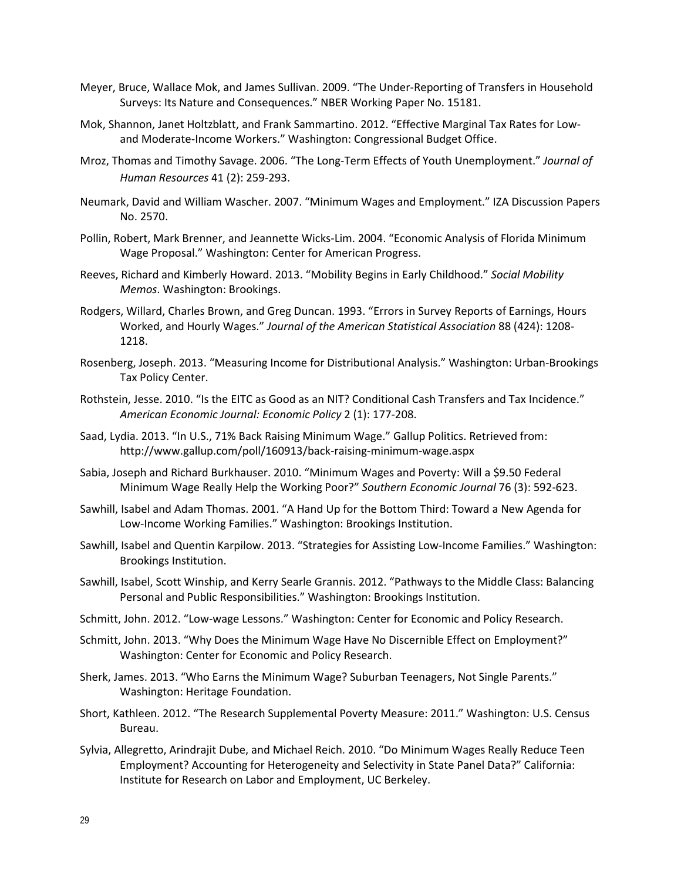- Meyer, Bruce, Wallace Mok, and James Sullivan. 2009. "The Under-Reporting of Transfers in Household Surveys: Its Nature and Consequences." NBER Working Paper No. 15181.
- Mok, Shannon, Janet Holtzblatt, and Frank Sammartino. 2012. "Effective Marginal Tax Rates for Lowand Moderate-Income Workers." Washington: Congressional Budget Office.
- Mroz, Thomas and Timothy Savage. 2006. "The Long-Term Effects of Youth Unemployment." *Journal of Human Resources* 41 (2): 259-293.
- Neumark, David and William Wascher. 2007. "Minimum Wages and Employment." IZA Discussion Papers No. 2570.
- Pollin, Robert, Mark Brenner, and Jeannette Wicks-Lim. 2004. "Economic Analysis of Florida Minimum Wage Proposal." Washington: Center for American Progress.
- Reeves, Richard and Kimberly Howard. 2013. "Mobility Begins in Early Childhood." *Social Mobility Memos*. Washington: Brookings.
- Rodgers, Willard, Charles Brown, and Greg Duncan. 1993. "Errors in Survey Reports of Earnings, Hours Worked, and Hourly Wages." *Journal of the American Statistical Association* 88 (424): 1208- 1218.
- Rosenberg, Joseph. 2013. "Measuring Income for Distributional Analysis." Washington: Urban-Brookings Tax Policy Center.
- Rothstein, Jesse. 2010. "Is the EITC as Good as an NIT? Conditional Cash Transfers and Tax Incidence." *American Economic Journal: Economic Policy* 2 (1): 177-208.
- Saad, Lydia. 2013. "In U.S., 71% Back Raising Minimum Wage." Gallup Politics. Retrieved from: http://www.gallup.com/poll/160913/back-raising-minimum-wage.aspx
- Sabia, Joseph and Richard Burkhauser. 2010. "Minimum Wages and Poverty: Will a \$9.50 Federal Minimum Wage Really Help the Working Poor?" *Southern Economic Journal* 76 (3): 592-623.
- Sawhill, Isabel and Adam Thomas. 2001. "A Hand Up for the Bottom Third: Toward a New Agenda for Low-Income Working Families." Washington: Brookings Institution.
- Sawhill, Isabel and Quentin Karpilow. 2013. "Strategies for Assisting Low-Income Families." Washington: Brookings Institution.
- Sawhill, Isabel, Scott Winship, and Kerry Searle Grannis. 2012. "Pathways to the Middle Class: Balancing Personal and Public Responsibilities." Washington: Brookings Institution.
- Schmitt, John. 2012. "Low-wage Lessons." Washington: Center for Economic and Policy Research.
- Schmitt, John. 2013. "Why Does the Minimum Wage Have No Discernible Effect on Employment?" Washington: Center for Economic and Policy Research.
- Sherk, James. 2013. "Who Earns the Minimum Wage? Suburban Teenagers, Not Single Parents." Washington: Heritage Foundation.
- Short, Kathleen. 2012. "The Research Supplemental Poverty Measure: 2011." Washington: U.S. Census Bureau.
- Sylvia, Allegretto, Arindrajit Dube, and Michael Reich. 2010. "Do Minimum Wages Really Reduce Teen Employment? Accounting for Heterogeneity and Selectivity in State Panel Data?" California: Institute for Research on Labor and Employment, UC Berkeley.